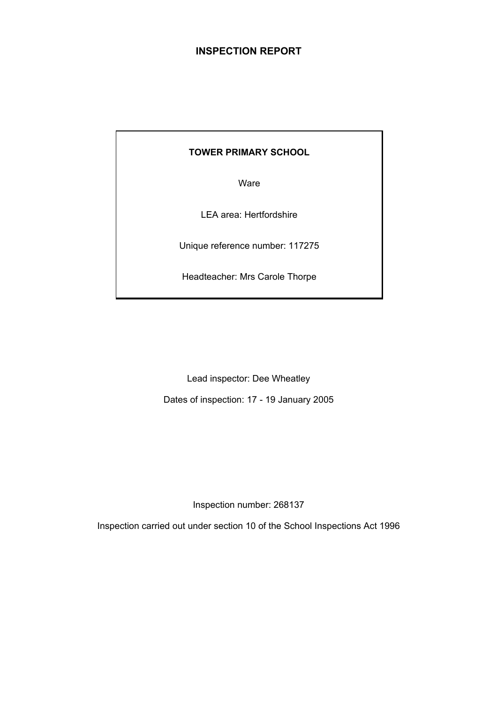# **INSPECTION REPORT**

## **TOWER PRIMARY SCHOOL**

Ware

LEA area: Hertfordshire

Unique reference number: 117275

Headteacher: Mrs Carole Thorpe

Lead inspector: Dee Wheatley

Dates of inspection: 17 - 19 January 2005

Inspection number: 268137

Inspection carried out under section 10 of the School Inspections Act 1996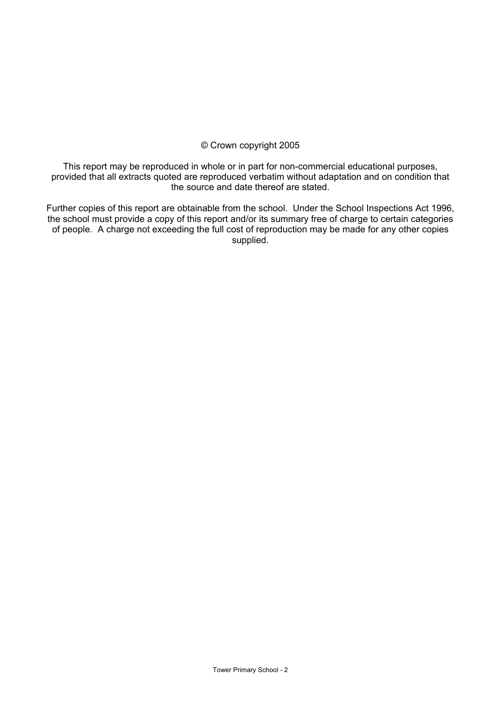#### © Crown copyright 2005

This report may be reproduced in whole or in part for non-commercial educational purposes, provided that all extracts quoted are reproduced verbatim without adaptation and on condition that the source and date thereof are stated.

Further copies of this report are obtainable from the school. Under the School Inspections Act 1996, the school must provide a copy of this report and/or its summary free of charge to certain categories of people. A charge not exceeding the full cost of reproduction may be made for any other copies supplied.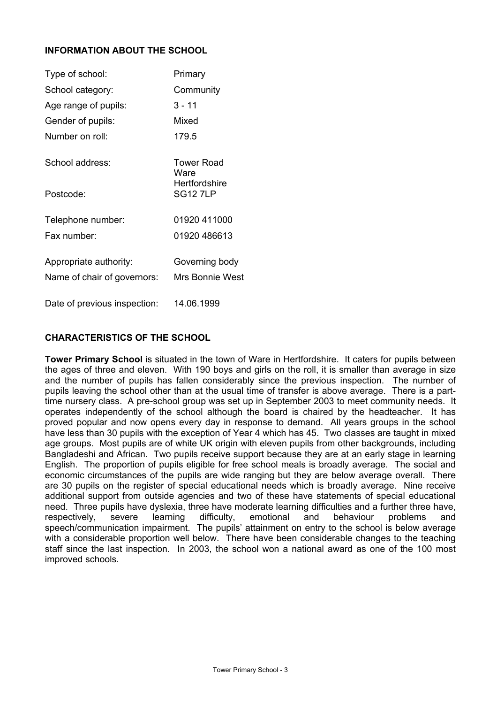## **INFORMATION ABOUT THE SCHOOL**

| Type of school:              | Primary                         |
|------------------------------|---------------------------------|
| School category:             | Community                       |
| Age range of pupils:         | 3 - 11                          |
| Gender of pupils:            | Mixed                           |
| Number on roll:              | 179.5                           |
| School address:              | Tower Road<br>Ware              |
| Postcode:                    | Hertfordshire<br><b>SG127LP</b> |
| Telephone number:            | 01920 411000                    |
| Fax number:                  | 01920 486613                    |
| Appropriate authority:       | Governing body                  |
| Name of chair of governors:  | Mrs Bonnie West                 |
| Date of previous inspection: | 14.06.1999                      |

## **CHARACTERISTICS OF THE SCHOOL**

**Tower Primary School** is situated in the town of Ware in Hertfordshire. It caters for pupils between the ages of three and eleven. With 190 boys and girls on the roll, it is smaller than average in size and the number of pupils has fallen considerably since the previous inspection. The number of pupils leaving the school other than at the usual time of transfer is above average. There is a parttime nursery class. A pre-school group was set up in September 2003 to meet community needs. It operates independently of the school although the board is chaired by the headteacher. It has proved popular and now opens every day in response to demand. All years groups in the school have less than 30 pupils with the exception of Year 4 which has 45. Two classes are taught in mixed age groups. Most pupils are of white UK origin with eleven pupils from other backgrounds, including Bangladeshi and African. Two pupils receive support because they are at an early stage in learning English. The proportion of pupils eligible for free school meals is broadly average. The social and economic circumstances of the pupils are wide ranging but they are below average overall. There are 30 pupils on the register of special educational needs which is broadly average. Nine receive additional support from outside agencies and two of these have statements of special educational need. Three pupils have dyslexia, three have moderate learning difficulties and a further three have, respectively, severe learning difficulty, emotional and behaviour problems and respectively, severe learning difficulty, emotional and behaviour problems and speech/communication impairment. The pupils' attainment on entry to the school is below average with a considerable proportion well below. There have been considerable changes to the teaching staff since the last inspection. In 2003, the school won a national award as one of the 100 most improved schools.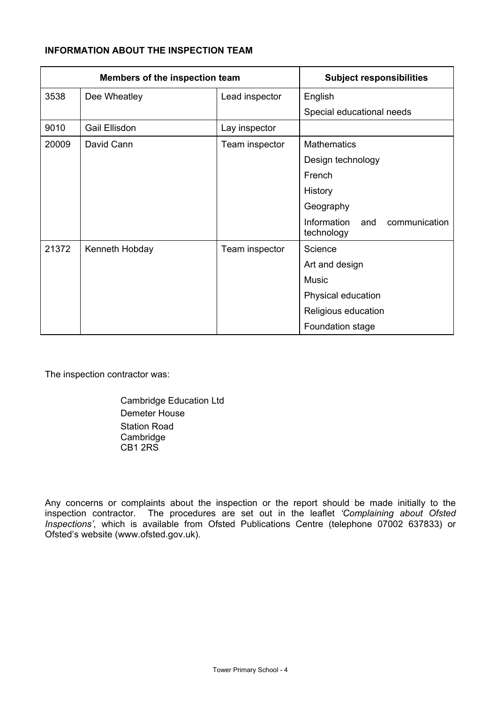# **INFORMATION ABOUT THE INSPECTION TEAM**

| Members of the inspection team |                | <b>Subject responsibilities</b> |                                                   |
|--------------------------------|----------------|---------------------------------|---------------------------------------------------|
| 3538                           | Dee Wheatley   | Lead inspector                  | English                                           |
|                                |                |                                 | Special educational needs                         |
| 9010                           | Gail Ellisdon  | Lay inspector                   |                                                   |
| 20009                          | David Cann     | Team inspector                  | <b>Mathematics</b>                                |
|                                |                |                                 | Design technology                                 |
|                                |                |                                 | French                                            |
|                                |                |                                 | History                                           |
|                                |                |                                 | Geography                                         |
|                                |                |                                 | Information<br>and<br>communication<br>technology |
| 21372                          | Kenneth Hobday | Team inspector                  | Science                                           |
|                                |                |                                 | Art and design                                    |
|                                |                |                                 | <b>Music</b>                                      |
|                                |                |                                 | Physical education                                |
|                                |                |                                 | Religious education                               |
|                                |                |                                 | Foundation stage                                  |

The inspection contractor was:

 Cambridge Education Ltd Demeter House Station Road **Cambridge** CB1 2RS

Any concerns or complaints about the inspection or the report should be made initially to the inspection contractor. The procedures are set out in the leaflet *'Complaining about Ofsted Inspections'*, which is available from Ofsted Publications Centre (telephone 07002 637833) or Ofsted's website (www.ofsted.gov.uk).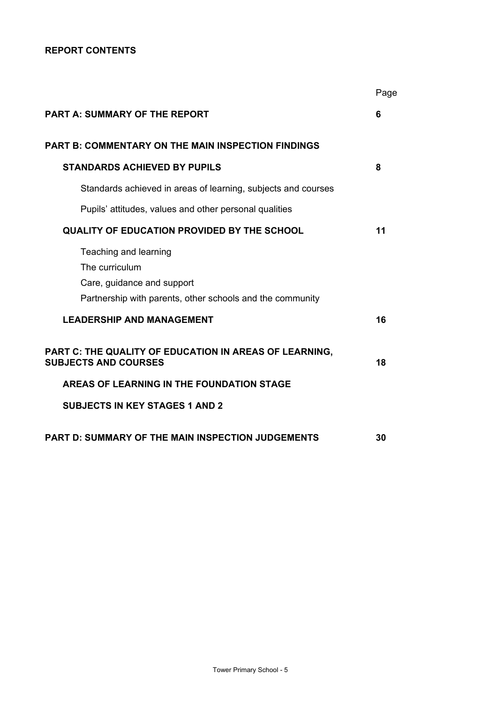## **REPORT CONTENTS**

|                                                                                                                                    | Page |
|------------------------------------------------------------------------------------------------------------------------------------|------|
| <b>PART A: SUMMARY OF THE REPORT</b>                                                                                               | 6    |
| <b>PART B: COMMENTARY ON THE MAIN INSPECTION FINDINGS</b>                                                                          |      |
| <b>STANDARDS ACHIEVED BY PUPILS</b>                                                                                                | 8    |
| Standards achieved in areas of learning, subjects and courses                                                                      |      |
| Pupils' attitudes, values and other personal qualities                                                                             |      |
| <b>QUALITY OF EDUCATION PROVIDED BY THE SCHOOL</b>                                                                                 | 11   |
| Teaching and learning<br>The curriculum<br>Care, guidance and support<br>Partnership with parents, other schools and the community |      |
| <b>LEADERSHIP AND MANAGEMENT</b>                                                                                                   | 16   |
| PART C: THE QUALITY OF EDUCATION IN AREAS OF LEARNING,<br><b>SUBJECTS AND COURSES</b><br>AREAS OF LEARNING IN THE FOUNDATION STAGE | 18   |
|                                                                                                                                    |      |
| <b>SUBJECTS IN KEY STAGES 1 AND 2</b>                                                                                              |      |
| <b>PART D: SUMMARY OF THE MAIN INSPECTION JUDGEMENTS</b>                                                                           | 30   |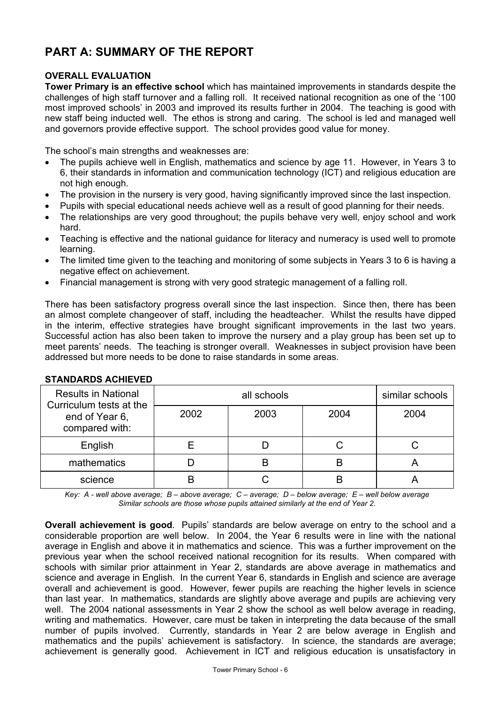# **PART A: SUMMARY OF THE REPORT**

## **OVERALL EVALUATION**

**Tower Primary is an effective school** which has maintained improvements in standards despite the challenges of high staff turnover and a falling roll. It received national recognition as one of the '100 most improved schools' in 2003 and improved its results further in 2004. The teaching is good with new staff being inducted well. The ethos is strong and caring. The school is led and managed well and governors provide effective support. The school provides good value for money.

The school's main strengths and weaknesses are:

- The pupils achieve well in English, mathematics and science by age 11. However, in Years 3 to 6, their standards in information and communication technology (ICT) and religious education are not high enough.
- The provision in the nursery is very good, having significantly improved since the last inspection.
- Pupils with special educational needs achieve well as a result of good planning for their needs.
- The relationships are very good throughout; the pupils behave very well, enjoy school and work hard.
- Teaching is effective and the national guidance for literacy and numeracy is used well to promote learning.
- The limited time given to the teaching and monitoring of some subjects in Years 3 to 6 is having a negative effect on achievement.
- Financial management is strong with very good strategic management of a falling roll.

There has been satisfactory progress overall since the last inspection. Since then, there has been an almost complete changeover of staff, including the headteacher. Whilst the results have dipped in the interim, effective strategies have brought significant improvements in the last two years. Successful action has also been taken to improve the nursery and a play group has been set up to meet parents' needs. The teaching is stronger overall. Weaknesses in subject provision have been addressed but more needs to be done to raise standards in some areas.

| <b>Results in National</b><br>Curriculum tests at the |      | similar schools |      |      |
|-------------------------------------------------------|------|-----------------|------|------|
| end of Year 6,<br>compared with:                      | 2002 | 2003            | 2004 | 2004 |
| English                                               |      |                 |      |      |
| mathematics                                           |      | B               | R    |      |
| science                                               |      |                 |      |      |

## **STANDARDS ACHIEVED**

*Key: A - well above average; B – above average; C – average; D – below average; E – well below average Similar schools are those whose pupils attained similarly at the end of Year 2.* 

**Overall achievement is good**. Pupils' standards are below average on entry to the school and a considerable proportion are well below. In 2004, the Year 6 results were in line with the national average in English and above it in mathematics and science. This was a further improvement on the previous year when the school received national recognition for its results. When compared with schools with similar prior attainment in Year 2, standards are above average in mathematics and science and average in English. In the current Year 6, standards in English and science are average overall and achievement is good. However, fewer pupils are reaching the higher levels in science than last year. In mathematics, standards are slightly above average and pupils are achieving very well. The 2004 national assessments in Year 2 show the school as well below average in reading, writing and mathematics. However, care must be taken in interpreting the data because of the small number of pupils involved. Currently, standards in Year 2 are below average in English and mathematics and the pupils' achievement is satisfactory. In science, the standards are average; achievement is generally good. Achievement in ICT and religious education is unsatisfactory in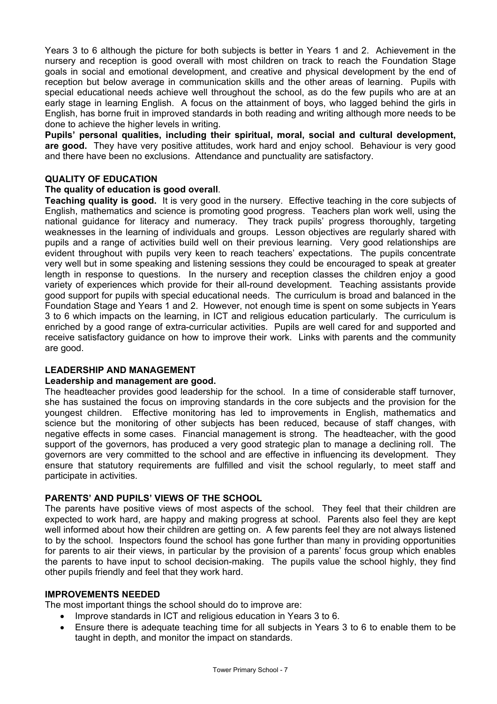Years 3 to 6 although the picture for both subjects is better in Years 1 and 2. Achievement in the nursery and reception is good overall with most children on track to reach the Foundation Stage goals in social and emotional development, and creative and physical development by the end of reception but below average in communication skills and the other areas of learning. Pupils with special educational needs achieve well throughout the school, as do the few pupils who are at an early stage in learning English. A focus on the attainment of boys, who lagged behind the girls in English, has borne fruit in improved standards in both reading and writing although more needs to be done to achieve the higher levels in writing.

**Pupils' personal qualities, including their spiritual, moral, social and cultural development, are good.** They have very positive attitudes, work hard and enjoy school. Behaviour is very good and there have been no exclusions. Attendance and punctuality are satisfactory.

#### **QUALITY OF EDUCATION**

#### **The quality of education is good overall**.

**Teaching quality is good.** It is very good in the nursery. Effective teaching in the core subjects of English, mathematics and science is promoting good progress. Teachers plan work well, using the national guidance for literacy and numeracy. They track pupils' progress thoroughly, targeting weaknesses in the learning of individuals and groups. Lesson objectives are regularly shared with pupils and a range of activities build well on their previous learning. Very good relationships are evident throughout with pupils very keen to reach teachers' expectations. The pupils concentrate very well but in some speaking and listening sessions they could be encouraged to speak at greater length in response to questions. In the nursery and reception classes the children enjoy a good variety of experiences which provide for their all-round development. Teaching assistants provide good support for pupils with special educational needs. The curriculum is broad and balanced in the Foundation Stage and Years 1 and 2. However, not enough time is spent on some subjects in Years 3 to 6 which impacts on the learning, in ICT and religious education particularly. The curriculum is enriched by a good range of extra-curricular activities. Pupils are well cared for and supported and receive satisfactory guidance on how to improve their work. Links with parents and the community are good.

## **LEADERSHIP AND MANAGEMENT**

#### **Leadership and management are good.**

The headteacher provides good leadership for the school. In a time of considerable staff turnover, she has sustained the focus on improving standards in the core subjects and the provision for the youngest children. Effective monitoring has led to improvements in English, mathematics and science but the monitoring of other subjects has been reduced, because of staff changes, with negative effects in some cases. Financial management is strong. The headteacher, with the good support of the governors, has produced a very good strategic plan to manage a declining roll. The governors are very committed to the school and are effective in influencing its development. They ensure that statutory requirements are fulfilled and visit the school regularly, to meet staff and participate in activities.

## **PARENTS' AND PUPILS' VIEWS OF THE SCHOOL**

The parents have positive views of most aspects of the school. They feel that their children are expected to work hard, are happy and making progress at school. Parents also feel they are kept well informed about how their children are getting on. A few parents feel they are not always listened to by the school. Inspectors found the school has gone further than many in providing opportunities for parents to air their views, in particular by the provision of a parents' focus group which enables the parents to have input to school decision-making. The pupils value the school highly, they find other pupils friendly and feel that they work hard.

#### **IMPROVEMENTS NEEDED**

The most important things the school should do to improve are:

- Improve standards in ICT and religious education in Years 3 to 6.
- Ensure there is adequate teaching time for all subjects in Years 3 to 6 to enable them to be taught in depth, and monitor the impact on standards.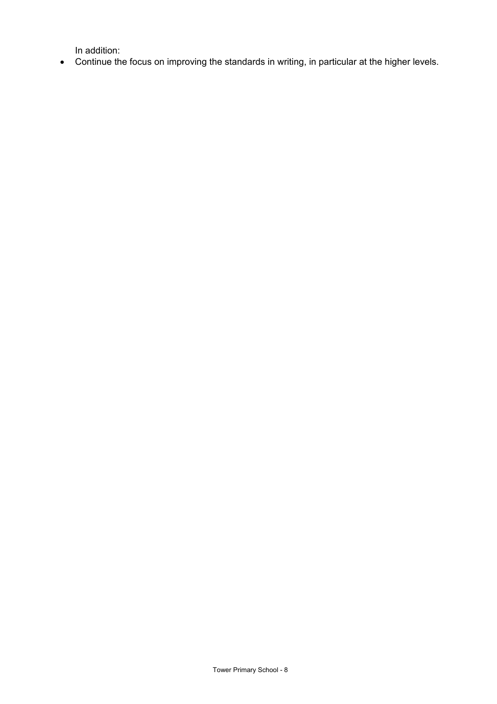In addition:

• Continue the focus on improving the standards in writing, in particular at the higher levels.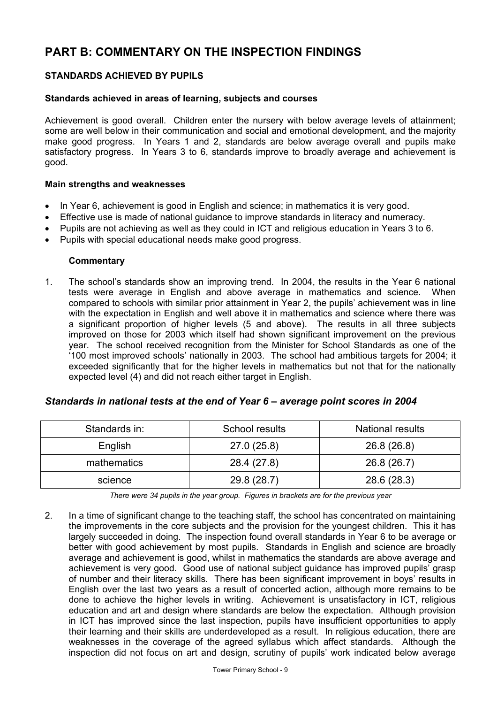# **PART B: COMMENTARY ON THE INSPECTION FINDINGS**

# **STANDARDS ACHIEVED BY PUPILS**

#### **Standards achieved in areas of learning, subjects and courses**

Achievement is good overall. Children enter the nursery with below average levels of attainment; some are well below in their communication and social and emotional development, and the majority make good progress. In Years 1 and 2, standards are below average overall and pupils make satisfactory progress. In Years 3 to 6, standards improve to broadly average and achievement is good.

#### **Main strengths and weaknesses**

- In Year 6, achievement is good in English and science; in mathematics it is very good.
- Effective use is made of national guidance to improve standards in literacy and numeracy.
- Pupils are not achieving as well as they could in ICT and religious education in Years 3 to 6.
- Pupils with special educational needs make good progress.

#### **Commentary**

1. The school's standards show an improving trend. In 2004, the results in the Year 6 national tests were average in English and above average in mathematics and science. When compared to schools with similar prior attainment in Year 2, the pupils' achievement was in line with the expectation in English and well above it in mathematics and science where there was a significant proportion of higher levels (5 and above). The results in all three subjects improved on those for 2003 which itself had shown significant improvement on the previous year. The school received recognition from the Minister for School Standards as one of the '100 most improved schools' nationally in 2003. The school had ambitious targets for 2004; it exceeded significantly that for the higher levels in mathematics but not that for the nationally expected level (4) and did not reach either target in English.

| Standards in: | School results | National results |
|---------------|----------------|------------------|
| English       | 27.0(25.8)     | 26.8 (26.8)      |
| mathematics   | 28.4 (27.8)    | 26.8 (26.7)      |
| science       | 29.8 (28.7)    | 28.6 (28.3)      |

#### *Standards in national tests at the end of Year 6 – average point scores in 2004*

*There were 34 pupils in the year group. Figures in brackets are for the previous year* 

2. In a time of significant change to the teaching staff, the school has concentrated on maintaining the improvements in the core subjects and the provision for the youngest children. This it has largely succeeded in doing. The inspection found overall standards in Year 6 to be average or better with good achievement by most pupils. Standards in English and science are broadly average and achievement is good, whilst in mathematics the standards are above average and achievement is very good. Good use of national subject guidance has improved pupils' grasp of number and their literacy skills. There has been significant improvement in boys' results in English over the last two years as a result of concerted action, although more remains to be done to achieve the higher levels in writing. Achievement is unsatisfactory in ICT, religious education and art and design where standards are below the expectation. Although provision in ICT has improved since the last inspection, pupils have insufficient opportunities to apply their learning and their skills are underdeveloped as a result. In religious education, there are weaknesses in the coverage of the agreed syllabus which affect standards. Although the inspection did not focus on art and design, scrutiny of pupils' work indicated below average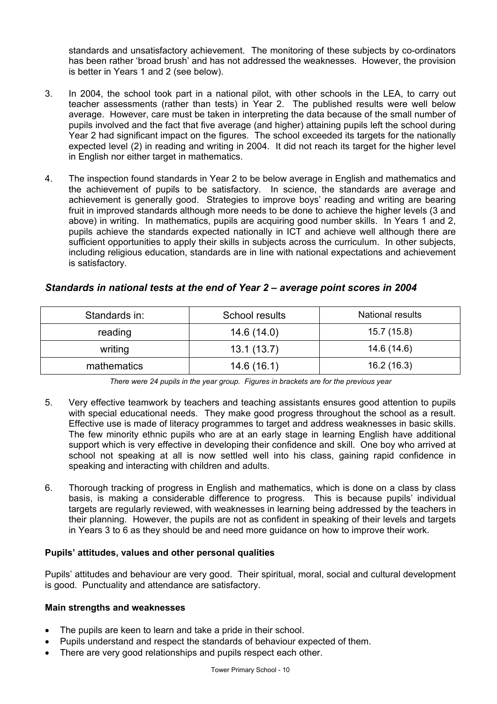standards and unsatisfactory achievement. The monitoring of these subjects by co-ordinators has been rather 'broad brush' and has not addressed the weaknesses. However, the provision is better in Years 1 and 2 (see below).

- 3. In 2004, the school took part in a national pilot, with other schools in the LEA, to carry out teacher assessments (rather than tests) in Year 2. The published results were well below average. However, care must be taken in interpreting the data because of the small number of pupils involved and the fact that five average (and higher) attaining pupils left the school during Year 2 had significant impact on the figures. The school exceeded its targets for the nationally expected level (2) in reading and writing in 2004. It did not reach its target for the higher level in English nor either target in mathematics.
- 4. The inspection found standards in Year 2 to be below average in English and mathematics and the achievement of pupils to be satisfactory. In science, the standards are average and achievement is generally good. Strategies to improve boys' reading and writing are bearing fruit in improved standards although more needs to be done to achieve the higher levels (3 and above) in writing. In mathematics, pupils are acquiring good number skills. In Years 1 and 2, pupils achieve the standards expected nationally in ICT and achieve well although there are sufficient opportunities to apply their skills in subjects across the curriculum. In other subjects, including religious education, standards are in line with national expectations and achievement is satisfactory.

| Standards in: | School results | National results |
|---------------|----------------|------------------|
| reading       | 14.6 (14.0)    | 15.7(15.8)       |
| writing       | 13.1(13.7)     | 14.6 (14.6)      |
| mathematics   | 14.6(16.1)     | 16.2(16.3)       |

## *Standards in national tests at the end of Year 2 – average point scores in 2004*

*There were 24 pupils in the year group. Figures in brackets are for the previous year* 

- 5. Very effective teamwork by teachers and teaching assistants ensures good attention to pupils with special educational needs. They make good progress throughout the school as a result. Effective use is made of literacy programmes to target and address weaknesses in basic skills. The few minority ethnic pupils who are at an early stage in learning English have additional support which is very effective in developing their confidence and skill. One boy who arrived at school not speaking at all is now settled well into his class, gaining rapid confidence in speaking and interacting with children and adults.
- 6. Thorough tracking of progress in English and mathematics, which is done on a class by class basis, is making a considerable difference to progress. This is because pupils' individual targets are regularly reviewed, with weaknesses in learning being addressed by the teachers in their planning. However, the pupils are not as confident in speaking of their levels and targets in Years 3 to 6 as they should be and need more guidance on how to improve their work.

# **Pupils' attitudes, values and other personal qualities**

Pupils' attitudes and behaviour are very good. Their spiritual, moral, social and cultural development is good. Punctuality and attendance are satisfactory.

## **Main strengths and weaknesses**

- The pupils are keen to learn and take a pride in their school.
- Pupils understand and respect the standards of behaviour expected of them.
- There are very good relationships and pupils respect each other.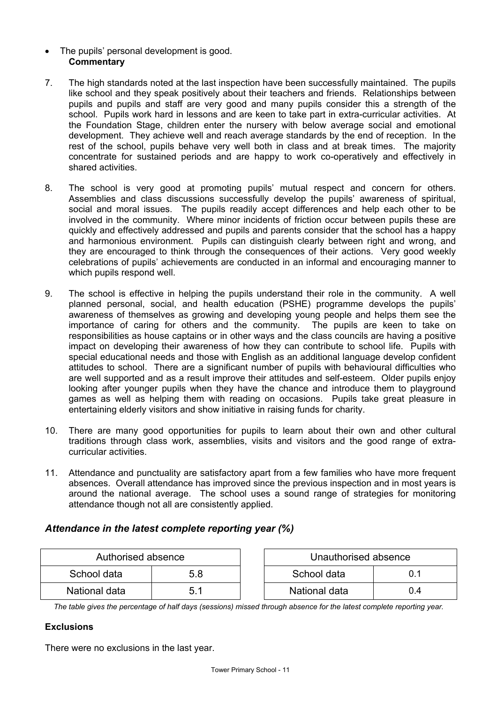- The pupils' personal development is good. **Commentary**
- 7. The high standards noted at the last inspection have been successfully maintained. The pupils like school and they speak positively about their teachers and friends. Relationships between pupils and pupils and staff are very good and many pupils consider this a strength of the school. Pupils work hard in lessons and are keen to take part in extra-curricular activities. At the Foundation Stage, children enter the nursery with below average social and emotional development. They achieve well and reach average standards by the end of reception.In the rest of the school, pupils behave very well both in class and at break times. The majority concentrate for sustained periods and are happy to work co-operatively and effectively in shared activities.
- 8. The school is very good at promoting pupils' mutual respect and concern for others. Assemblies and class discussions successfully develop the pupils' awareness of spiritual, social and moral issues. The pupils readily accept differences and help each other to be involved in the community. Where minor incidents of friction occur between pupils these are quickly and effectively addressed and pupils and parents consider that the school has a happy and harmonious environment. Pupils can distinguish clearly between right and wrong, and they are encouraged to think through the consequences of their actions. Very good weekly celebrations of pupils' achievements are conducted in an informal and encouraging manner to which pupils respond well.
- 9. The school is effective in helping the pupils understand their role in the community. A well planned personal, social, and health education (PSHE) programme develops the pupils' awareness of themselves as growing and developing young people and helps them see the importance of caring for others and the community. The pupils are keen to take on responsibilities as house captains or in other ways and the class councils are having a positive impact on developing their awareness of how they can contribute to school life. Pupils with special educational needs and those with English as an additional language develop confident attitudes to school. There are a significant number of pupils with behavioural difficulties who are well supported and as a result improve their attitudes and self-esteem. Older pupils enjoy looking after younger pupils when they have the chance and introduce them to playground games as well as helping them with reading on occasions. Pupils take great pleasure in entertaining elderly visitors and show initiative in raising funds for charity.
- 10. There are many good opportunities for pupils to learn about their own and other cultural traditions through class work, assemblies, visits and visitors and the good range of extracurricular activities.
- 11. Attendance and punctuality are satisfactory apart from a few families who have more frequent absences. Overall attendance has improved since the previous inspection and in most years is around the national average. The school uses a sound range of strategies for monitoring attendance though not all are consistently applied.

# *Attendance in the latest complete reporting year (%)*

| Authorised absence |     | Unauthorised absence |     |
|--------------------|-----|----------------------|-----|
| School data        | 5.8 | School data          |     |
| National data      |     | National data        | 0.4 |

*The table gives the percentage of half days (sessions) missed through absence for the latest complete reporting year.*

## **Exclusions**

There were no exclusions in the last year.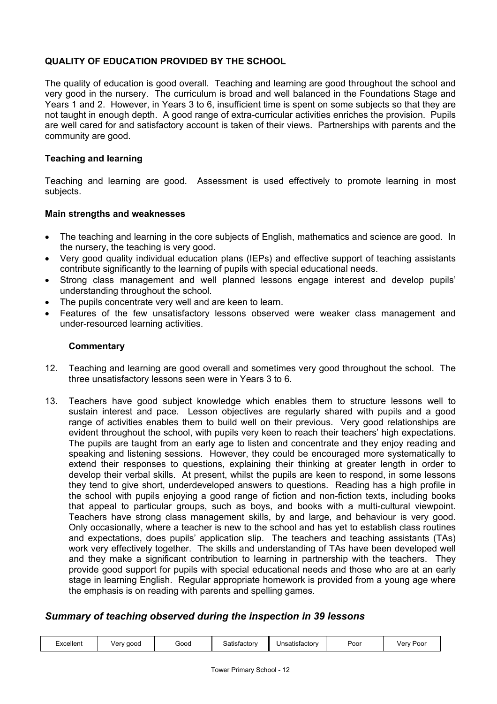## **QUALITY OF EDUCATION PROVIDED BY THE SCHOOL**

The quality of education is good overall. Teaching and learning are good throughout the school and very good in the nursery. The curriculum is broad and well balanced in the Foundations Stage and Years 1 and 2. However, in Years 3 to 6, insufficient time is spent on some subjects so that they are not taught in enough depth. A good range of extra-curricular activities enriches the provision. Pupils are well cared for and satisfactory account is taken of their views. Partnerships with parents and the community are good.

## **Teaching and learning**

Teaching and learning are good. Assessment is used effectively to promote learning in most subjects.

## **Main strengths and weaknesses**

- The teaching and learning in the core subjects of English, mathematics and science are good. In the nursery, the teaching is very good.
- Very good quality individual education plans (IEPs) and effective support of teaching assistants contribute significantly to the learning of pupils with special educational needs.
- Strong class management and well planned lessons engage interest and develop pupils' understanding throughout the school.
- The pupils concentrate very well and are keen to learn.
- Features of the few unsatisfactory lessons observed were weaker class management and under-resourced learning activities.

## **Commentary**

- 12. Teaching and learning are good overall and sometimes very good throughout the school. The three unsatisfactory lessons seen were in Years 3 to 6.
- 13. Teachers have good subject knowledge which enables them to structure lessons well to sustain interest and pace. Lesson objectives are regularly shared with pupils and a good range of activities enables them to build well on their previous. Very good relationships are evident throughout the school, with pupils very keen to reach their teachers' high expectations. The pupils are taught from an early age to listen and concentrate and they enjoy reading and speaking and listening sessions. However, they could be encouraged more systematically to extend their responses to questions, explaining their thinking at greater length in order to develop their verbal skills. At present, whilst the pupils are keen to respond, in some lessons they tend to give short, underdeveloped answers to questions. Reading has a high profile in the school with pupils enjoying a good range of fiction and non-fiction texts, including books that appeal to particular groups, such as boys, and books with a multi-cultural viewpoint. Teachers have strong class management skills, by and large, and behaviour is very good. Only occasionally, where a teacher is new to the school and has yet to establish class routines and expectations, does pupils' application slip. The teachers and teaching assistants (TAs) work very effectively together. The skills and understanding of TAs have been developed well and they make a significant contribution to learning in partnership with the teachers. They provide good support for pupils with special educational needs and those who are at an early stage in learning English. Regular appropriate homework is provided from a young age where the emphasis is on reading with parents and spelling games.

# *Summary of teaching observed during the inspection in 39 lessons*

| Excellent | Very good | Good | Satisfactorv | Unsatisfactory | Poor | Very Poor |
|-----------|-----------|------|--------------|----------------|------|-----------|
|-----------|-----------|------|--------------|----------------|------|-----------|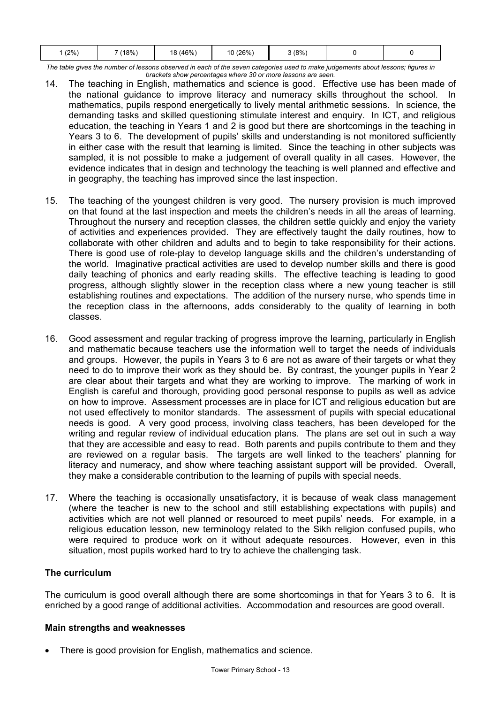|--|

*The table gives the number of lessons observed in each of the seven categories used to make judgements about lessons; figures in brackets show percentages where 30 or more lessons are seen.* 

- 14. The teaching in English, mathematics and science is good. Effective use has been made of the national guidance to improve literacy and numeracy skills throughout the school. In mathematics, pupils respond energetically to lively mental arithmetic sessions. In science, the demanding tasks and skilled questioning stimulate interest and enquiry. In ICT, and religious education, the teaching in Years 1 and 2 is good but there are shortcomings in the teaching in Years 3 to 6. The development of pupils' skills and understanding is not monitored sufficiently in either case with the result that learning is limited. Since the teaching in other subjects was sampled, it is not possible to make a judgement of overall quality in all cases. However, the evidence indicates that in design and technology the teaching is well planned and effective and in geography, the teaching has improved since the last inspection.
- 15. The teaching of the youngest children is very good. The nursery provision is much improved on that found at the last inspection and meets the children's needs in all the areas of learning. Throughout the nursery and reception classes, the children settle quickly and enjoy the variety of activities and experiences provided. They are effectively taught the daily routines, how to collaborate with other children and adults and to begin to take responsibility for their actions. There is good use of role-play to develop language skills and the children's understanding of the world. Imaginative practical activities are used to develop number skills and there is good daily teaching of phonics and early reading skills. The effective teaching is leading to good progress, although slightly slower in the reception class where a new young teacher is still establishing routines and expectations. The addition of the nursery nurse, who spends time in the reception class in the afternoons, adds considerably to the quality of learning in both classes.
- 16. Good assessment and regular tracking of progress improve the learning, particularly in English and mathematic because teachers use the information well to target the needs of individuals and groups. However, the pupils in Years 3 to 6 are not as aware of their targets or what they need to do to improve their work as they should be. By contrast, the younger pupils in Year 2 are clear about their targets and what they are working to improve. The marking of work in English is careful and thorough, providing good personal response to pupils as well as advice on how to improve. Assessment processes are in place for ICT and religious education but are not used effectively to monitor standards. The assessment of pupils with special educational needs is good. A very good process, involving class teachers, has been developed for the writing and regular review of individual education plans. The plans are set out in such a way that they are accessible and easy to read. Both parents and pupils contribute to them and they are reviewed on a regular basis. The targets are well linked to the teachers' planning for literacy and numeracy, and show where teaching assistant support will be provided. Overall, they make a considerable contribution to the learning of pupils with special needs.
- 17. Where the teaching is occasionally unsatisfactory, it is because of weak class management (where the teacher is new to the school and still establishing expectations with pupils) and activities which are not well planned or resourced to meet pupils' needs. For example, in a religious education lesson, new terminology related to the Sikh religion confused pupils, who were required to produce work on it without adequate resources. However, even in this situation, most pupils worked hard to try to achieve the challenging task.

# **The curriculum**

The curriculum is good overall although there are some shortcomings in that for Years 3 to 6. It is enriched by a good range of additional activities. Accommodation and resources are good overall.

# **Main strengths and weaknesses**

There is good provision for English, mathematics and science.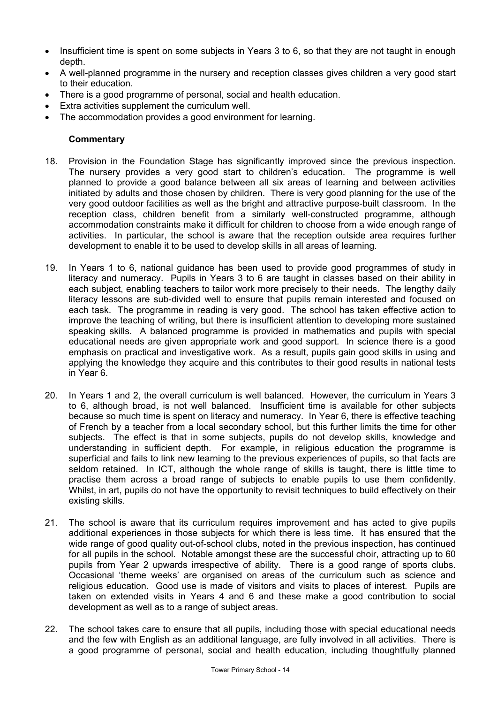- Insufficient time is spent on some subjects in Years 3 to 6, so that they are not taught in enough depth.
- A well-planned programme in the nursery and reception classes gives children a very good start to their education.
- There is a good programme of personal, social and health education.
- Extra activities supplement the curriculum well.
- The accommodation provides a good environment for learning.

- 18. Provision in the Foundation Stage has significantly improved since the previous inspection. The nursery provides a very good start to children's education. The programme is well planned to provide a good balance between all six areas of learning and between activities initiated by adults and those chosen by children. There is very good planning for the use of the very good outdoor facilities as well as the bright and attractive purpose-built classroom. In the reception class, children benefit from a similarly well-constructed programme, although accommodation constraints make it difficult for children to choose from a wide enough range of activities. In particular, the school is aware that the reception outside area requires further development to enable it to be used to develop skills in all areas of learning.
- 19. In Years 1 to 6, national guidance has been used to provide good programmes of study in literacy and numeracy. Pupils in Years 3 to 6 are taught in classes based on their ability in each subject, enabling teachers to tailor work more precisely to their needs. The lengthy daily literacy lessons are sub-divided well to ensure that pupils remain interested and focused on each task. The programme in reading is very good. The school has taken effective action to improve the teaching of writing, but there is insufficient attention to developing more sustained speaking skills. A balanced programme is provided in mathematics and pupils with special educational needs are given appropriate work and good support. In science there is a good emphasis on practical and investigative work. As a result, pupils gain good skills in using and applying the knowledge they acquire and this contributes to their good results in national tests in Year 6.
- 20. In Years 1 and 2, the overall curriculum is well balanced. However, the curriculum in Years 3 to 6, although broad, is not well balanced. Insufficient time is available for other subjects because so much time is spent on literacy and numeracy. In Year 6, there is effective teaching of French by a teacher from a local secondary school, but this further limits the time for other subjects. The effect is that in some subjects, pupils do not develop skills, knowledge and understanding in sufficient depth. For example, in religious education the programme is superficial and fails to link new learning to the previous experiences of pupils, so that facts are seldom retained. In ICT, although the whole range of skills is taught, there is little time to practise them across a broad range of subjects to enable pupils to use them confidently. Whilst, in art, pupils do not have the opportunity to revisit techniques to build effectively on their existing skills.
- 21. The school is aware that its curriculum requires improvement and has acted to give pupils additional experiences in those subjects for which there is less time. It has ensured that the wide range of good quality out-of-school clubs, noted in the previous inspection, has continued for all pupils in the school. Notable amongst these are the successful choir, attracting up to 60 pupils from Year 2 upwards irrespective of ability. There is a good range of sports clubs. Occasional 'theme weeks' are organised on areas of the curriculum such as science and religious education. Good use is made of visitors and visits to places of interest. Pupils are taken on extended visits in Years 4 and 6 and these make a good contribution to social development as well as to a range of subject areas.
- 22. The school takes care to ensure that all pupils, including those with special educational needs and the few with English as an additional language, are fully involved in all activities. There is a good programme of personal, social and health education, including thoughtfully planned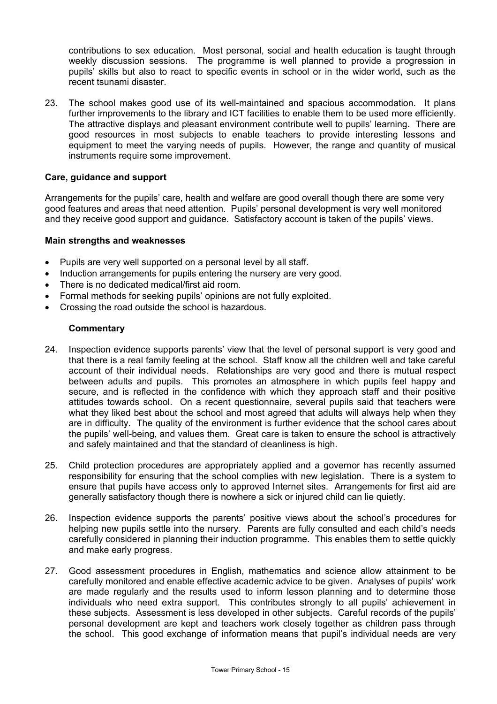contributions to sex education. Most personal, social and health education is taught through weekly discussion sessions. The programme is well planned to provide a progression in pupils' skills but also to react to specific events in school or in the wider world, such as the recent tsunami disaster.

23. The school makes good use of its well-maintained and spacious accommodation. It plans further improvements to the library and ICT facilities to enable them to be used more efficiently. The attractive displays and pleasant environment contribute well to pupils' learning. There are good resources in most subjects to enable teachers to provide interesting lessons and equipment to meet the varying needs of pupils. However, the range and quantity of musical instruments require some improvement.

### **Care, guidance and support**

Arrangements for the pupils' care, health and welfare are good overall though there are some very good features and areas that need attention. Pupils' personal development is very well monitored and they receive good support and guidance. Satisfactory account is taken of the pupils' views.

#### **Main strengths and weaknesses**

- Pupils are very well supported on a personal level by all staff.
- Induction arrangements for pupils entering the nursery are very good.
- There is no dedicated medical/first aid room.
- Formal methods for seeking pupils' opinions are not fully exploited.
- Crossing the road outside the school is hazardous.

- 24. Inspection evidence supports parents' view that the level of personal support is very good and that there is a real family feeling at the school. Staff know all the children well and take careful account of their individual needs. Relationships are very good and there is mutual respect between adults and pupils. This promotes an atmosphere in which pupils feel happy and secure, and is reflected in the confidence with which they approach staff and their positive attitudes towards school. On a recent questionnaire, several pupils said that teachers were what they liked best about the school and most agreed that adults will always help when they are in difficulty. The quality of the environment is further evidence that the school cares about the pupils' well-being, and values them. Great care is taken to ensure the school is attractively and safely maintained and that the standard of cleanliness is high.
- 25. Child protection procedures are appropriately applied and a governor has recently assumed responsibility for ensuring that the school complies with new legislation. There is a system to ensure that pupils have access only to approved Internet sites. Arrangements for first aid are generally satisfactory though there is nowhere a sick or injured child can lie quietly.
- 26. Inspection evidence supports the parents' positive views about the school's procedures for helping new pupils settle into the nursery. Parents are fully consulted and each child's needs carefully considered in planning their induction programme. This enables them to settle quickly and make early progress.
- 27. Good assessment procedures in English, mathematics and science allow attainment to be carefully monitored and enable effective academic advice to be given. Analyses of pupils' work are made regularly and the results used to inform lesson planning and to determine those individuals who need extra support. This contributes strongly to all pupils' achievement in these subjects. Assessment is less developed in other subjects. Careful records of the pupils' personal development are kept and teachers work closely together as children pass through the school. This good exchange of information means that pupil's individual needs are very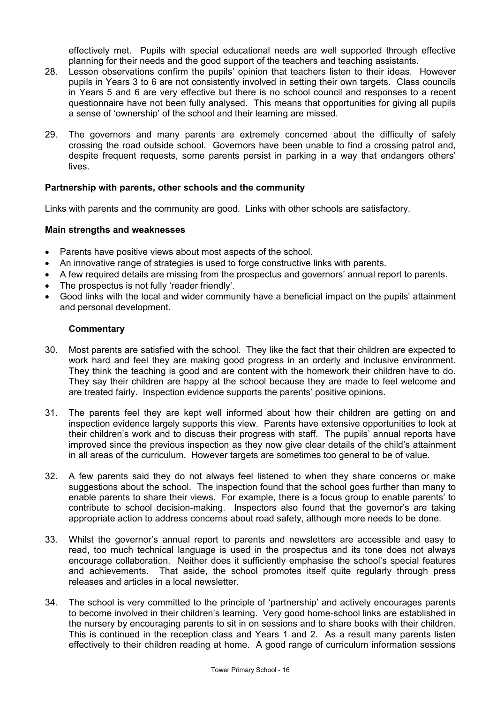effectively met. Pupils with special educational needs are well supported through effective planning for their needs and the good support of the teachers and teaching assistants.

- 28. Lesson observations confirm the pupils' opinion that teachers listen to their ideas. However pupils in Years 3 to 6 are not consistently involved in setting their own targets. Class councils in Years 5 and 6 are very effective but there is no school council and responses to a recent questionnaire have not been fully analysed. This means that opportunities for giving all pupils a sense of 'ownership' of the school and their learning are missed.
- 29. The governors and many parents are extremely concerned about the difficulty of safely crossing the road outside school. Governors have been unable to find a crossing patrol and, despite frequent requests, some parents persist in parking in a way that endangers others' lives.

#### **Partnership with parents, other schools and the community**

Links with parents and the community are good. Links with other schools are satisfactory.

#### **Main strengths and weaknesses**

- Parents have positive views about most aspects of the school.
- An innovative range of strategies is used to forge constructive links with parents.
- A few required details are missing from the prospectus and governors' annual report to parents.
- The prospectus is not fully 'reader friendly'.
- Good links with the local and wider community have a beneficial impact on the pupils' attainment and personal development.

- 30. Most parents are satisfied with the school. They like the fact that their children are expected to work hard and feel they are making good progress in an orderly and inclusive environment. They think the teaching is good and are content with the homework their children have to do. They say their children are happy at the school because they are made to feel welcome and are treated fairly. Inspection evidence supports the parents' positive opinions.
- 31. The parents feel they are kept well informed about how their children are getting on and inspection evidence largely supports this view. Parents have extensive opportunities to look at their children's work and to discuss their progress with staff. The pupils' annual reports have improved since the previous inspection as they now give clear details of the child's attainment in all areas of the curriculum. However targets are sometimes too general to be of value.
- 32. A few parents said they do not always feel listened to when they share concerns or make suggestions about the school. The inspection found that the school goes further than many to enable parents to share their views. For example, there is a focus group to enable parents' to contribute to school decision-making. Inspectors also found that the governor's are taking appropriate action to address concerns about road safety, although more needs to be done.
- 33. Whilst the governor's annual report to parents and newsletters are accessible and easy to read, too much technical language is used in the prospectus and its tone does not always encourage collaboration. Neither does it sufficiently emphasise the school's special features and achievements. That aside, the school promotes itself quite regularly through press releases and articles in a local newsletter.
- 34. The school is very committed to the principle of 'partnership' and actively encourages parents to become involved in their children's learning. Very good home-school links are established in the nursery by encouraging parents to sit in on sessions and to share books with their children. This is continued in the reception class and Years 1 and 2. As a result many parents listen effectively to their children reading at home. A good range of curriculum information sessions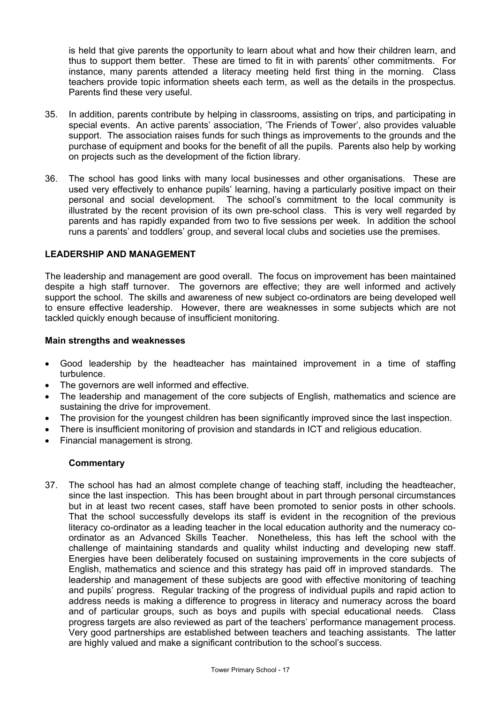is held that give parents the opportunity to learn about what and how their children learn, and thus to support them better. These are timed to fit in with parents' other commitments. For instance, many parents attended a literacy meeting held first thing in the morning. Class teachers provide topic information sheets each term, as well as the details in the prospectus. Parents find these very useful.

- 35. In addition, parents contribute by helping in classrooms, assisting on trips, and participating in special events. An active parents' association, 'The Friends of Tower', also provides valuable support. The association raises funds for such things as improvements to the grounds and the purchase of equipment and books for the benefit of all the pupils. Parents also help by working on projects such as the development of the fiction library.
- 36. The school has good links with many local businesses and other organisations. These are used very effectively to enhance pupils' learning, having a particularly positive impact on their personal and social development. The school's commitment to the local community is illustrated by the recent provision of its own pre-school class. This is very well regarded by parents and has rapidly expanded from two to five sessions per week. In addition the school runs a parents' and toddlers' group, and several local clubs and societies use the premises.

#### **LEADERSHIP AND MANAGEMENT**

The leadership and management are good overall. The focus on improvement has been maintained despite a high staff turnover. The governors are effective; they are well informed and actively support the school. The skills and awareness of new subject co-ordinators are being developed well to ensure effective leadership. However, there are weaknesses in some subjects which are not tackled quickly enough because of insufficient monitoring.

#### **Main strengths and weaknesses**

- Good leadership by the headteacher has maintained improvement in a time of staffing turbulence.
- The governors are well informed and effective.
- The leadership and management of the core subjects of English, mathematics and science are sustaining the drive for improvement.
- The provision for the youngest children has been significantly improved since the last inspection.
- There is insufficient monitoring of provision and standards in ICT and religious education.
- Financial management is strong.

## **Commentary**

37. The school has had an almost complete change of teaching staff, including the headteacher, since the last inspection. This has been brought about in part through personal circumstances but in at least two recent cases, staff have been promoted to senior posts in other schools. That the school successfully develops its staff is evident in the recognition of the previous literacy co-ordinator as a leading teacher in the local education authority and the numeracy coordinator as an Advanced Skills Teacher. Nonetheless, this has left the school with the challenge of maintaining standards and quality whilst inducting and developing new staff. Energies have been deliberately focused on sustaining improvements in the core subjects of English, mathematics and science and this strategy has paid off in improved standards. The leadership and management of these subjects are good with effective monitoring of teaching and pupils' progress. Regular tracking of the progress of individual pupils and rapid action to address needs is making a difference to progress in literacy and numeracy across the board and of particular groups, such as boys and pupils with special educational needs. Class progress targets are also reviewed as part of the teachers' performance management process. Very good partnerships are established between teachers and teaching assistants. The latter are highly valued and make a significant contribution to the school's success.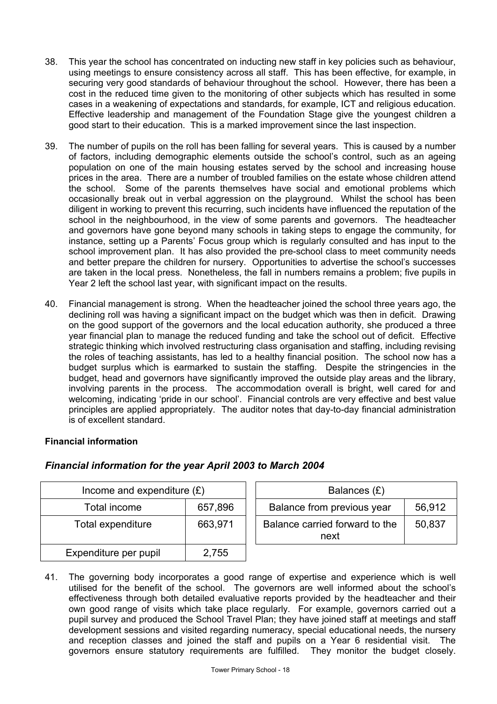- 38. This year the school has concentrated on inducting new staff in key policies such as behaviour, using meetings to ensure consistency across all staff. This has been effective, for example, in securing very good standards of behaviour throughout the school. However, there has been a cost in the reduced time given to the monitoring of other subjects which has resulted in some cases in a weakening of expectations and standards, for example, ICT and religious education. Effective leadership and management of the Foundation Stage give the youngest children a good start to their education. This is a marked improvement since the last inspection.
- 39. The number of pupils on the roll has been falling for several years. This is caused by a number of factors, including demographic elements outside the school's control, such as an ageing population on one of the main housing estates served by the school and increasing house prices in the area. There are a number of troubled families on the estate whose children attend the school. Some of the parents themselves have social and emotional problems which occasionally break out in verbal aggression on the playground. Whilst the school has been diligent in working to prevent this recurring, such incidents have influenced the reputation of the school in the neighbourhood, in the view of some parents and governors. The headteacher and governors have gone beyond many schools in taking steps to engage the community, for instance, setting up a Parents' Focus group which is regularly consulted and has input to the school improvement plan. It has also provided the pre-school class to meet community needs and better prepare the children for nursery. Opportunities to advertise the school's successes are taken in the local press. Nonetheless, the fall in numbers remains a problem; five pupils in Year 2 left the school last year, with significant impact on the results.
- 40. Financial management is strong. When the headteacher joined the school three years ago, the declining roll was having a significant impact on the budget which was then in deficit. Drawing on the good support of the governors and the local education authority, she produced a three year financial plan to manage the reduced funding and take the school out of deficit. Effective strategic thinking which involved restructuring class organisation and staffing, including revising the roles of teaching assistants, has led to a healthy financial position. The school now has a budget surplus which is earmarked to sustain the staffing. Despite the stringencies in the budget, head and governors have significantly improved the outside play areas and the library, involving parents in the process. The accommodation overall is bright, well cared for and welcoming, indicating 'pride in our school'. Financial controls are very effective and best value principles are applied appropriately. The auditor notes that day-to-day financial administration is of excellent standard.

## **Financial information**

| Income and expenditure $(E)$ |         | Balances (£)                                     |
|------------------------------|---------|--------------------------------------------------|
| Total income                 | 657,896 | Balance from previous year<br>56,912             |
| Total expenditure            | 663,971 | Balance carried forward to the<br>50,837<br>next |
| Expenditure per pupil        | 2,755   |                                                  |

# *Financial information for the year April 2003 to March 2004*

41. The governing body incorporates a good range of expertise and experience which is well utilised for the benefit of the school. The governors are well informed about the school's effectiveness through both detailed evaluative reports provided by the headteacher and their own good range of visits which take place regularly. For example, governors carried out a pupil survey and produced the School Travel Plan; they have joined staff at meetings and staff development sessions and visited regarding numeracy, special educational needs, the nursery and reception classes and joined the staff and pupils on a Year 6 residential visit. The governors ensure statutory requirements are fulfilled. They monitor the budget closely.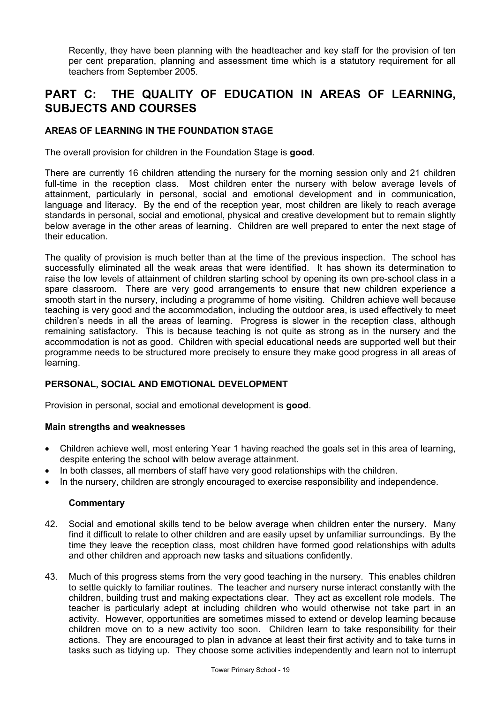Recently, they have been planning with the headteacher and key staff for the provision of ten per cent preparation, planning and assessment time which is a statutory requirement for all teachers from September 2005.

# **PART C: THE QUALITY OF EDUCATION IN AREAS OF LEARNING, SUBJECTS AND COURSES**

## **AREAS OF LEARNING IN THE FOUNDATION STAGE**

The overall provision for children in the Foundation Stage is **good**.

There are currently 16 children attending the nursery for the morning session only and 21 children full-time in the reception class. Most children enter the nursery with below average levels of attainment, particularly in personal, social and emotional development and in communication, language and literacy. By the end of the reception year, most children are likely to reach average standards in personal, social and emotional, physical and creative development but to remain slightly below average in the other areas of learning. Children are well prepared to enter the next stage of their education.

The quality of provision is much better than at the time of the previous inspection. The school has successfully eliminated all the weak areas that were identified. It has shown its determination to raise the low levels of attainment of children starting school by opening its own pre-school class in a spare classroom. There are very good arrangements to ensure that new children experience a smooth start in the nursery, including a programme of home visiting. Children achieve well because teaching is very good and the accommodation, including the outdoor area, is used effectively to meet children's needs in all the areas of learning. Progress is slower in the reception class, although remaining satisfactory. This is because teaching is not quite as strong as in the nursery and the accommodation is not as good. Children with special educational needs are supported well but their programme needs to be structured more precisely to ensure they make good progress in all areas of learning.

## **PERSONAL, SOCIAL AND EMOTIONAL DEVELOPMENT**

Provision in personal, social and emotional development is **good**.

#### **Main strengths and weaknesses**

- Children achieve well, most entering Year 1 having reached the goals set in this area of learning, despite entering the school with below average attainment.
- In both classes, all members of staff have very good relationships with the children.
- In the nursery, children are strongly encouraged to exercise responsibility and independence.

- 42. Social and emotional skills tend to be below average when children enter the nursery. Many find it difficult to relate to other children and are easily upset by unfamiliar surroundings. By the time they leave the reception class, most children have formed good relationships with adults and other children and approach new tasks and situations confidently.
- 43. Much of this progress stems from the very good teaching in the nursery. This enables children to settle quickly to familiar routines. The teacher and nursery nurse interact constantly with the children, building trust and making expectations clear. They act as excellent role models. The teacher is particularly adept at including children who would otherwise not take part in an activity. However, opportunities are sometimes missed to extend or develop learning because children move on to a new activity too soon. Children learn to take responsibility for their actions. They are encouraged to plan in advance at least their first activity and to take turns in tasks such as tidying up. They choose some activities independently and learn not to interrupt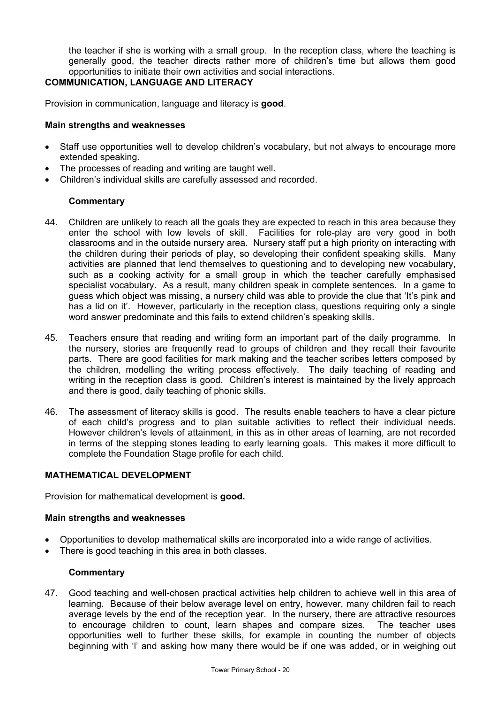the teacher if she is working with a small group. In the reception class, where the teaching is generally good, the teacher directs rather more of children's time but allows them good opportunities to initiate their own activities and social interactions.

#### **COMMUNICATION, LANGUAGE AND LITERACY**

Provision in communication, language and literacy is **good**.

#### **Main strengths and weaknesses**

- Staff use opportunities well to develop children's vocabulary, but not always to encourage more extended speaking.
- The processes of reading and writing are taught well.
- Children's individual skills are carefully assessed and recorded.

## **Commentary**

- 44. Children are unlikely to reach all the goals they are expected to reach in this area because they enter the school with low levels of skill. Facilities for role-play are very good in both classrooms and in the outside nursery area. Nursery staff put a high priority on interacting with the children during their periods of play, so developing their confident speaking skills. Many activities are planned that lend themselves to questioning and to developing new vocabulary, such as a cooking activity for a small group in which the teacher carefully emphasised specialist vocabulary. As a result, many children speak in complete sentences. In a game to guess which object was missing, a nursery child was able to provide the clue that 'It's pink and has a lid on it'. However, particularly in the reception class, questions requiring only a single word answer predominate and this fails to extend children's speaking skills.
- 45. Teachers ensure that reading and writing form an important part of the daily programme. In the nursery, stories are frequently read to groups of children and they recall their favourite parts. There are good facilities for mark making and the teacher scribes letters composed by the children, modelling the writing process effectively. The daily teaching of reading and writing in the reception class is good. Children's interest is maintained by the lively approach and there is good, daily teaching of phonic skills.
- 46. The assessment of literacy skills is good. The results enable teachers to have a clear picture of each child's progress and to plan suitable activities to reflect their individual needs. However children's levels of attainment, in this as in other areas of learning, are not recorded in terms of the stepping stones leading to early learning goals. This makes it more difficult to complete the Foundation Stage profile for each child.

## **MATHEMATICAL DEVELOPMENT**

Provision for mathematical development is **good.** 

#### **Main strengths and weaknesses**

- Opportunities to develop mathematical skills are incorporated into a wide range of activities.
- There is good teaching in this area in both classes.

#### **Commentary**

47. Good teaching and well-chosen practical activities help children to achieve well in this area of learning. Because of their below average level on entry, however, many children fail to reach average levels by the end of the reception year. In the nursery, there are attractive resources to encourage children to count, learn shapes and compare sizes. The teacher uses opportunities well to further these skills, for example in counting the number of objects beginning with 'l' and asking how many there would be if one was added, or in weighing out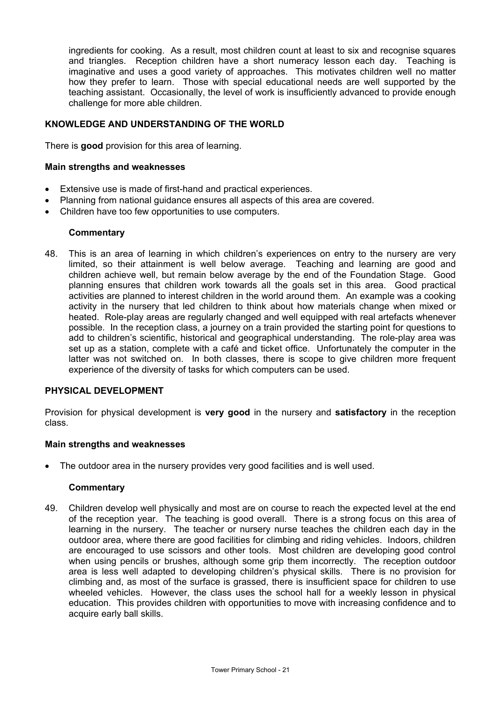ingredients for cooking. As a result, most children count at least to six and recognise squares and triangles. Reception children have a short numeracy lesson each day. Teaching is imaginative and uses a good variety of approaches. This motivates children well no matter how they prefer to learn. Those with special educational needs are well supported by the teaching assistant. Occasionally, the level of work is insufficiently advanced to provide enough challenge for more able children.

## **KNOWLEDGE AND UNDERSTANDING OF THE WORLD**

There is **good** provision for this area of learning.

#### **Main strengths and weaknesses**

- Extensive use is made of first-hand and practical experiences.
- Planning from national guidance ensures all aspects of this area are covered.
- Children have too few opportunities to use computers.

## **Commentary**

48. This is an area of learning in which children's experiences on entry to the nursery are very limited, so their attainment is well below average. Teaching and learning are good and children achieve well, but remain below average by the end of the Foundation Stage. Good planning ensures that children work towards all the goals set in this area. Good practical activities are planned to interest children in the world around them. An example was a cooking activity in the nursery that led children to think about how materials change when mixed or heated. Role-play areas are regularly changed and well equipped with real artefacts whenever possible. In the reception class, a journey on a train provided the starting point for questions to add to children's scientific, historical and geographical understanding. The role-play area was set up as a station, complete with a café and ticket office. Unfortunately the computer in the latter was not switched on. In both classes, there is scope to give children more frequent experience of the diversity of tasks for which computers can be used.

## **PHYSICAL DEVELOPMENT**

Provision for physical development is **very good** in the nursery and **satisfactory** in the reception class.

#### **Main strengths and weaknesses**

• The outdoor area in the nursery provides very good facilities and is well used.

#### **Commentary**

49. Children develop well physically and most are on course to reach the expected level at the end of the reception year. The teaching is good overall. There is a strong focus on this area of learning in the nursery. The teacher or nursery nurse teaches the children each day in the outdoor area, where there are good facilities for climbing and riding vehicles. Indoors, children are encouraged to use scissors and other tools. Most children are developing good control when using pencils or brushes, although some grip them incorrectly. The reception outdoor area is less well adapted to developing children's physical skills. There is no provision for climbing and, as most of the surface is grassed, there is insufficient space for children to use wheeled vehicles. However, the class uses the school hall for a weekly lesson in physical education. This provides children with opportunities to move with increasing confidence and to acquire early ball skills.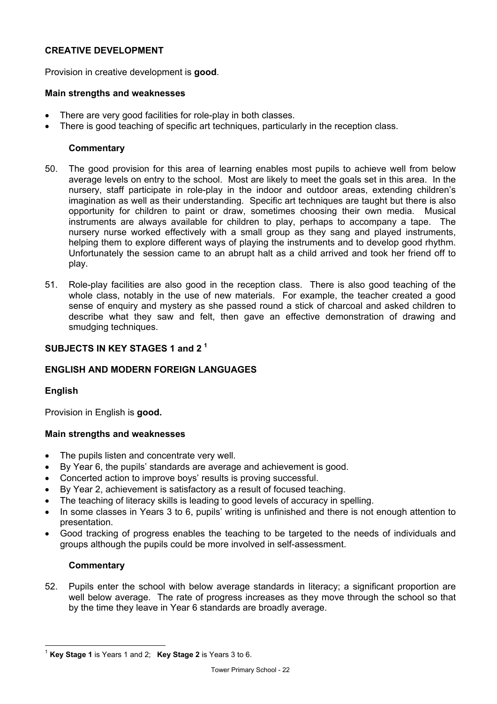## **CREATIVE DEVELOPMENT**

Provision in creative development is **good**.

#### **Main strengths and weaknesses**

- There are very good facilities for role-play in both classes.
- There is good teaching of specific art techniques, particularly in the reception class.

#### **Commentary**

- 50. The good provision for this area of learning enables most pupils to achieve well from below average levels on entry to the school. Most are likely to meet the goals set in this area. In the nursery, staff participate in role-play in the indoor and outdoor areas, extending children's imagination as well as their understanding. Specific art techniques are taught but there is also opportunity for children to paint or draw, sometimes choosing their own media. Musical instruments are always available for children to play, perhaps to accompany a tape. The nursery nurse worked effectively with a small group as they sang and played instruments, helping them to explore different ways of playing the instruments and to develop good rhythm. Unfortunately the session came to an abrupt halt as a child arrived and took her friend off to play.
- 51. Role-play facilities are also good in the reception class. There is also good teaching of the whole class, notably in the use of new materials. For example, the teacher created a good sense of enquiry and mystery as she passed round a stick of charcoal and asked children to describe what they saw and felt, then gave an effective demonstration of drawing and smudging techniques.

## **SUBJECTS IN KEY STAGES 1 and 2 1**

# **ENGLISH AND MODERN FOREIGN LANGUAGES**

## **English**

Provision in English is **good.**

## **Main strengths and weaknesses**

- The pupils listen and concentrate very well.
- By Year 6, the pupils' standards are average and achievement is good.
- Concerted action to improve boys' results is proving successful.
- By Year 2, achievement is satisfactory as a result of focused teaching.
- The teaching of literacy skills is leading to good levels of accuracy in spelling.
- In some classes in Years 3 to 6, pupils' writing is unfinished and there is not enough attention to presentation.
- Good tracking of progress enables the teaching to be targeted to the needs of individuals and groups although the pupils could be more involved in self-assessment.

## **Commentary**

52. Pupils enter the school with below average standards in literacy; a significant proportion are well below average. The rate of progress increases as they move through the school so that by the time they leave in Year 6 standards are broadly average.

l <sup>1</sup> **Key Stage 1** is Years 1 and 2; **Key Stage 2** is Years 3 to 6.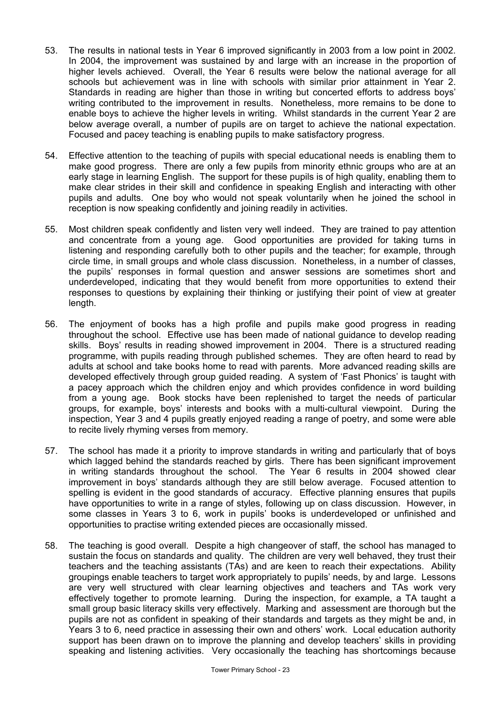- 53. The results in national tests in Year 6 improved significantly in 2003 from a low point in 2002. In 2004, the improvement was sustained by and large with an increase in the proportion of higher levels achieved. Overall, the Year 6 results were below the national average for all schools but achievement was in line with schools with similar prior attainment in Year 2. Standards in reading are higher than those in writing but concerted efforts to address boys' writing contributed to the improvement in results. Nonetheless, more remains to be done to enable boys to achieve the higher levels in writing. Whilst standards in the current Year 2 are below average overall, a number of pupils are on target to achieve the national expectation. Focused and pacey teaching is enabling pupils to make satisfactory progress.
- 54. Effective attention to the teaching of pupils with special educational needs is enabling them to make good progress. There are only a few pupils from minority ethnic groups who are at an early stage in learning English. The support for these pupils is of high quality, enabling them to make clear strides in their skill and confidence in speaking English and interacting with other pupils and adults. One boy who would not speak voluntarily when he joined the school in reception is now speaking confidently and joining readily in activities.
- 55. Most children speak confidently and listen very well indeed. They are trained to pay attention and concentrate from a young age. Good opportunities are provided for taking turns in listening and responding carefully both to other pupils and the teacher; for example, through circle time, in small groups and whole class discussion. Nonetheless, in a number of classes, the pupils' responses in formal question and answer sessions are sometimes short and underdeveloped, indicating that they would benefit from more opportunities to extend their responses to questions by explaining their thinking or justifying their point of view at greater length.
- 56. The enjoyment of books has a high profile and pupils make good progress in reading throughout the school. Effective use has been made of national guidance to develop reading skills. Boys' results in reading showed improvement in 2004. There is a structured reading programme, with pupils reading through published schemes. They are often heard to read by adults at school and take books home to read with parents. More advanced reading skills are developed effectively through group guided reading. A system of 'Fast Phonics' is taught with a pacey approach which the children enjoy and which provides confidence in word building from a young age. Book stocks have been replenished to target the needs of particular groups, for example, boys' interests and books with a multi-cultural viewpoint. During the inspection, Year 3 and 4 pupils greatly enjoyed reading a range of poetry, and some were able to recite lively rhyming verses from memory.
- 57. The school has made it a priority to improve standards in writing and particularly that of boys which lagged behind the standards reached by girls. There has been significant improvement in writing standards throughout the school. The Year 6 results in 2004 showed clear improvement in boys' standards although they are still below average. Focused attention to spelling is evident in the good standards of accuracy. Effective planning ensures that pupils have opportunities to write in a range of styles, following up on class discussion. However, in some classes in Years 3 to 6, work in pupils' books is underdeveloped or unfinished and opportunities to practise writing extended pieces are occasionally missed.
- 58. The teaching is good overall. Despite a high changeover of staff, the school has managed to sustain the focus on standards and quality. The children are very well behaved, they trust their teachers and the teaching assistants (TAs) and are keen to reach their expectations. Ability groupings enable teachers to target work appropriately to pupils' needs, by and large. Lessons are very well structured with clear learning objectives and teachers and TAs work very effectively together to promote learning. During the inspection, for example, a TA taught a small group basic literacy skills very effectively. Marking and assessment are thorough but the pupils are not as confident in speaking of their standards and targets as they might be and, in Years 3 to 6, need practice in assessing their own and others' work. Local education authority support has been drawn on to improve the planning and develop teachers' skills in providing speaking and listening activities. Very occasionally the teaching has shortcomings because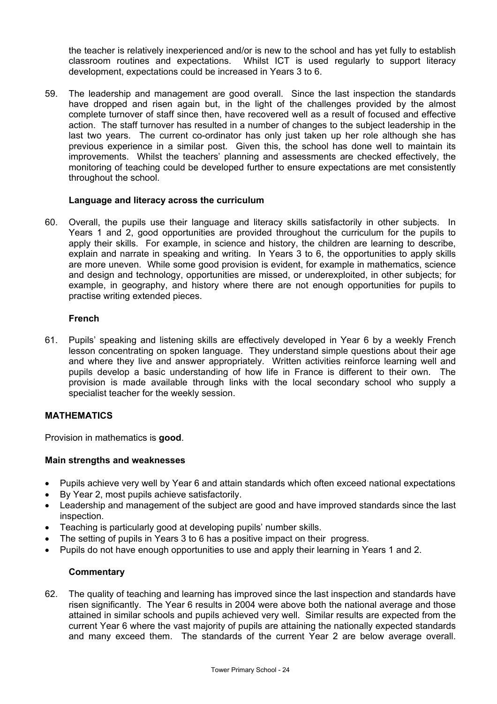the teacher is relatively inexperienced and/or is new to the school and has yet fully to establish classroom routines and expectations. Whilst ICT is used regularly to support literacy development, expectations could be increased in Years 3 to 6.

59. The leadership and management are good overall. Since the last inspection the standards have dropped and risen again but, in the light of the challenges provided by the almost complete turnover of staff since then, have recovered well as a result of focused and effective action. The staff turnover has resulted in a number of changes to the subject leadership in the last two years. The current co-ordinator has only just taken up her role although she has previous experience in a similar post. Given this, the school has done well to maintain its improvements. Whilst the teachers' planning and assessments are checked effectively, the monitoring of teaching could be developed further to ensure expectations are met consistently throughout the school.

## **Language and literacy across the curriculum**

60. Overall, the pupils use their language and literacy skills satisfactorily in other subjects. In Years 1 and 2, good opportunities are provided throughout the curriculum for the pupils to apply their skills. For example, in science and history, the children are learning to describe, explain and narrate in speaking and writing. In Years 3 to 6, the opportunities to apply skills are more uneven. While some good provision is evident, for example in mathematics, science and design and technology, opportunities are missed, or underexploited, in other subjects; for example, in geography, and history where there are not enough opportunities for pupils to practise writing extended pieces.

## **French**

61. Pupils' speaking and listening skills are effectively developed in Year 6 by a weekly French lesson concentrating on spoken language. They understand simple questions about their age and where they live and answer appropriately. Written activities reinforce learning well and pupils develop a basic understanding of how life in France is different to their own. The provision is made available through links with the local secondary school who supply a specialist teacher for the weekly session.

## **MATHEMATICS**

Provision in mathematics is **good**.

## **Main strengths and weaknesses**

- Pupils achieve very well by Year 6 and attain standards which often exceed national expectations
- By Year 2, most pupils achieve satisfactorily.
- Leadership and management of the subject are good and have improved standards since the last inspection.
- Teaching is particularly good at developing pupils' number skills.
- The setting of pupils in Years 3 to 6 has a positive impact on their progress.
- Pupils do not have enough opportunities to use and apply their learning in Years 1 and 2.

## **Commentary**

62. The quality of teaching and learning has improved since the last inspection and standards have risen significantly. The Year 6 results in 2004 were above both the national average and those attained in similar schools and pupils achieved very well. Similar results are expected from the current Year 6 where the vast majority of pupils are attaining the nationally expected standards and many exceed them. The standards of the current Year 2 are below average overall.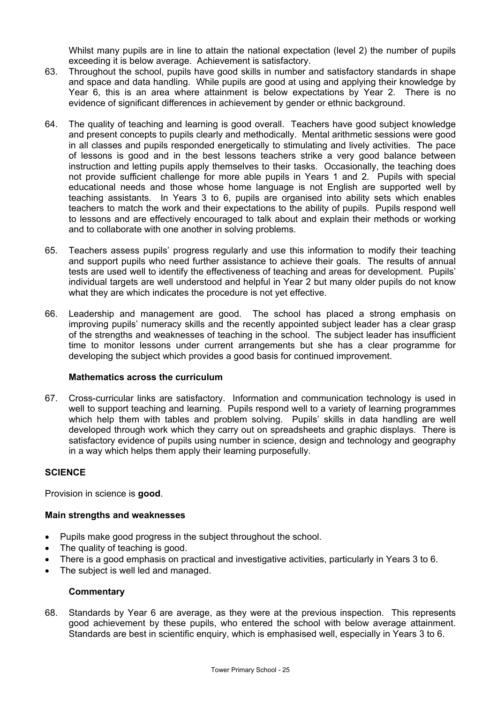Whilst many pupils are in line to attain the national expectation (level 2) the number of pupils exceeding it is below average. Achievement is satisfactory.

- 63. Throughout the school, pupils have good skills in number and satisfactory standards in shape and space and data handling. While pupils are good at using and applying their knowledge by Year 6, this is an area where attainment is below expectations by Year 2. There is no evidence of significant differences in achievement by gender or ethnic background.
- 64. The quality of teaching and learning is good overall. Teachers have good subject knowledge and present concepts to pupils clearly and methodically. Mental arithmetic sessions were good in all classes and pupils responded energetically to stimulating and lively activities. The pace of lessons is good and in the best lessons teachers strike a very good balance between instruction and letting pupils apply themselves to their tasks. Occasionally, the teaching does not provide sufficient challenge for more able pupils in Years 1 and 2. Pupils with special educational needs and those whose home language is not English are supported well by teaching assistants. In Years 3 to 6, pupils are organised into ability sets which enables teachers to match the work and their expectations to the ability of pupils. Pupils respond well to lessons and are effectively encouraged to talk about and explain their methods or working and to collaborate with one another in solving problems.
- 65. Teachers assess pupils' progress regularly and use this information to modify their teaching and support pupils who need further assistance to achieve their goals. The results of annual tests are used well to identify the effectiveness of teaching and areas for development. Pupils' individual targets are well understood and helpful in Year 2 but many older pupils do not know what they are which indicates the procedure is not yet effective.
- 66. Leadership and management are good. The school has placed a strong emphasis on improving pupils' numeracy skills and the recently appointed subject leader has a clear grasp of the strengths and weaknesses of teaching in the school. The subject leader has insufficient time to monitor lessons under current arrangements but she has a clear programme for developing the subject which provides a good basis for continued improvement.

## **Mathematics across the curriculum**

67. Cross-curricular links are satisfactory. Information and communication technology is used in well to support teaching and learning. Pupils respond well to a variety of learning programmes which help them with tables and problem solving. Pupils' skills in data handling are well developed through work which they carry out on spreadsheets and graphic displays. There is satisfactory evidence of pupils using number in science, design and technology and geography in a way which helps them apply their learning purposefully.

## **SCIENCE**

Provision in science is **good**.

## **Main strengths and weaknesses**

- Pupils make good progress in the subject throughout the school.
- The quality of teaching is good.
- There is a good emphasis on practical and investigative activities, particularly in Years 3 to 6.
- The subject is well led and managed.

#### **Commentary**

68. Standards by Year 6 are average, as they were at the previous inspection. This represents good achievement by these pupils, who entered the school with below average attainment. Standards are best in scientific enquiry, which is emphasised well, especially in Years 3 to 6.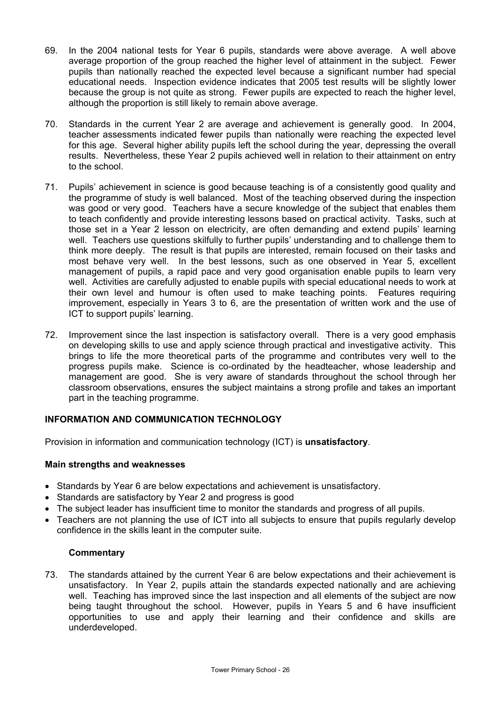- 69. In the 2004 national tests for Year 6 pupils, standards were above average. A well above average proportion of the group reached the higher level of attainment in the subject. Fewer pupils than nationally reached the expected level because a significant number had special educational needs. Inspection evidence indicates that 2005 test results will be slightly lower because the group is not quite as strong. Fewer pupils are expected to reach the higher level, although the proportion is still likely to remain above average.
- 70. Standards in the current Year 2 are average and achievement is generally good. In 2004, teacher assessments indicated fewer pupils than nationally were reaching the expected level for this age. Several higher ability pupils left the school during the year, depressing the overall results. Nevertheless, these Year 2 pupils achieved well in relation to their attainment on entry to the school.
- 71. Pupils' achievement in science is good because teaching is of a consistently good quality and the programme of study is well balanced. Most of the teaching observed during the inspection was good or very good. Teachers have a secure knowledge of the subject that enables them to teach confidently and provide interesting lessons based on practical activity. Tasks, such at those set in a Year 2 lesson on electricity, are often demanding and extend pupils' learning well. Teachers use questions skilfully to further pupils' understanding and to challenge them to think more deeply. The result is that pupils are interested, remain focused on their tasks and most behave very well. In the best lessons, such as one observed in Year 5, excellent management of pupils, a rapid pace and very good organisation enable pupils to learn very well. Activities are carefully adjusted to enable pupils with special educational needs to work at their own level and humour is often used to make teaching points. Features requiring improvement, especially in Years 3 to 6, are the presentation of written work and the use of ICT to support pupils' learning.
- 72. Improvement since the last inspection is satisfactory overall. There is a very good emphasis on developing skills to use and apply science through practical and investigative activity. This brings to life the more theoretical parts of the programme and contributes very well to the progress pupils make. Science is co-ordinated by the headteacher, whose leadership and management are good. She is very aware of standards throughout the school through her classroom observations, ensures the subject maintains a strong profile and takes an important part in the teaching programme.

## **INFORMATION AND COMMUNICATION TECHNOLOGY**

Provision in information and communication technology (ICT) is **unsatisfactory**.

## **Main strengths and weaknesses**

- Standards by Year 6 are below expectations and achievement is unsatisfactory.
- Standards are satisfactory by Year 2 and progress is good
- The subject leader has insufficient time to monitor the standards and progress of all pupils.
- Teachers are not planning the use of ICT into all subjects to ensure that pupils regularly develop confidence in the skills leant in the computer suite.

## **Commentary**

73. The standards attained by the current Year 6 are below expectations and their achievement is unsatisfactory. In Year 2, pupils attain the standards expected nationally and are achieving well. Teaching has improved since the last inspection and all elements of the subject are now being taught throughout the school. However, pupils in Years 5 and 6 have insufficient opportunities to use and apply their learning and their confidence and skills are underdeveloped.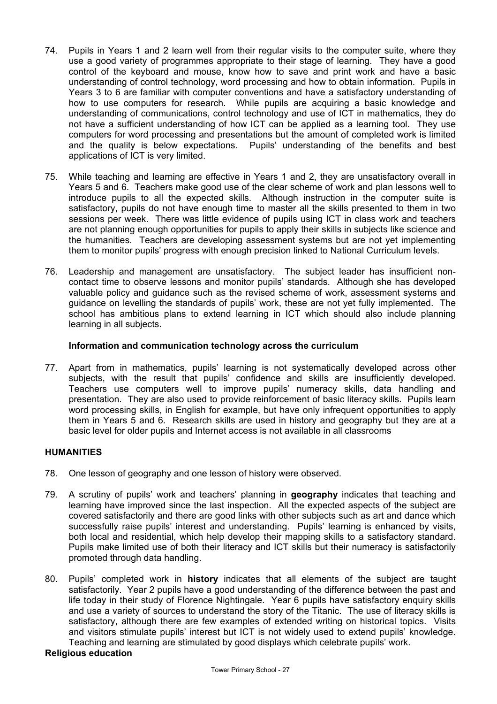- 74. Pupils in Years 1 and 2 learn well from their regular visits to the computer suite, where they use a good variety of programmes appropriate to their stage of learning. They have a good control of the keyboard and mouse, know how to save and print work and have a basic understanding of control technology, word processing and how to obtain information. Pupils in Years 3 to 6 are familiar with computer conventions and have a satisfactory understanding of how to use computers for research. While pupils are acquiring a basic knowledge and understanding of communications, control technology and use of ICT in mathematics, they do not have a sufficient understanding of how ICT can be applied as a learning tool. They use computers for word processing and presentations but the amount of completed work is limited and the quality is below expectations. Pupils' understanding of the benefits and best applications of ICT is very limited.
- 75. While teaching and learning are effective in Years 1 and 2, they are unsatisfactory overall in Years 5 and 6. Teachers make good use of the clear scheme of work and plan lessons well to introduce pupils to all the expected skills. Although instruction in the computer suite is satisfactory, pupils do not have enough time to master all the skills presented to them in two sessions per week. There was little evidence of pupils using ICT in class work and teachers are not planning enough opportunities for pupils to apply their skills in subjects like science and the humanities. Teachers are developing assessment systems but are not yet implementing them to monitor pupils' progress with enough precision linked to National Curriculum levels.
- 76. Leadership and management are unsatisfactory. The subject leader has insufficient noncontact time to observe lessons and monitor pupils' standards. Although she has developed valuable policy and guidance such as the revised scheme of work, assessment systems and guidance on levelling the standards of pupils' work, these are not yet fully implemented. The school has ambitious plans to extend learning in ICT which should also include planning learning in all subjects.

#### **Information and communication technology across the curriculum**

77. Apart from in mathematics, pupils' learning is not systematically developed across other subjects, with the result that pupils' confidence and skills are insufficiently developed. Teachers use computers well to improve pupils' numeracy skills, data handling and presentation. They are also used to provide reinforcement of basic literacy skills. Pupils learn word processing skills, in English for example, but have only infrequent opportunities to apply them in Years 5 and 6. Research skills are used in history and geography but they are at a basic level for older pupils and Internet access is not available in all classrooms

## **HUMANITIES**

- 78. One lesson of geography and one lesson of history were observed.
- 79. A scrutiny of pupils' work and teachers' planning in **geography** indicates that teaching and learning have improved since the last inspection. All the expected aspects of the subject are covered satisfactorily and there are good links with other subjects such as art and dance which successfully raise pupils' interest and understanding. Pupils' learning is enhanced by visits, both local and residential, which help develop their mapping skills to a satisfactory standard. Pupils make limited use of both their literacy and ICT skills but their numeracy is satisfactorily promoted through data handling.
- 80. Pupils' completed work in **history** indicates that all elements of the subject are taught satisfactorily. Year 2 pupils have a good understanding of the difference between the past and life today in their study of Florence Nightingale. Year 6 pupils have satisfactory enquiry skills and use a variety of sources to understand the story of the Titanic. The use of literacy skills is satisfactory, although there are few examples of extended writing on historical topics. Visits and visitors stimulate pupils' interest but ICT is not widely used to extend pupils' knowledge. Teaching and learning are stimulated by good displays which celebrate pupils' work.

## **Religious education**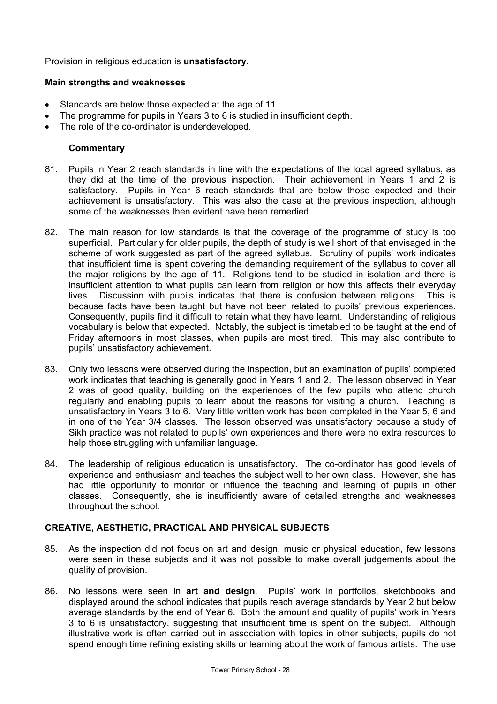Provision in religious education is **unsatisfactory**.

#### **Main strengths and weaknesses**

- Standards are below those expected at the age of 11.
- The programme for pupils in Years 3 to 6 is studied in insufficient depth.
- The role of the co-ordinator is underdeveloped.

#### **Commentary**

- 81. Pupils in Year 2 reach standards in line with the expectations of the local agreed syllabus, as they did at the time of the previous inspection. Their achievement in Years 1 and 2 is satisfactory. Pupils in Year 6 reach standards that are below those expected and their achievement is unsatisfactory. This was also the case at the previous inspection, although some of the weaknesses then evident have been remedied.
- 82. The main reason for low standards is that the coverage of the programme of study is too superficial. Particularly for older pupils, the depth of study is well short of that envisaged in the scheme of work suggested as part of the agreed syllabus. Scrutiny of pupils' work indicates that insufficient time is spent covering the demanding requirement of the syllabus to cover all the major religions by the age of 11. Religions tend to be studied in isolation and there is insufficient attention to what pupils can learn from religion or how this affects their everyday lives. Discussion with pupils indicates that there is confusion between religions. This is because facts have been taught but have not been related to pupils' previous experiences. Consequently, pupils find it difficult to retain what they have learnt. Understanding of religious vocabulary is below that expected. Notably, the subject is timetabled to be taught at the end of Friday afternoons in most classes, when pupils are most tired. This may also contribute to pupils' unsatisfactory achievement.
- 83. Only two lessons were observed during the inspection, but an examination of pupils' completed work indicates that teaching is generally good in Years 1 and 2. The lesson observed in Year 2 was of good quality, building on the experiences of the few pupils who attend church regularly and enabling pupils to learn about the reasons for visiting a church. Teaching is unsatisfactory in Years 3 to 6. Very little written work has been completed in the Year 5, 6 and in one of the Year 3/4 classes. The lesson observed was unsatisfactory because a study of Sikh practice was not related to pupils' own experiences and there were no extra resources to help those struggling with unfamiliar language.
- 84. The leadership of religious education is unsatisfactory. The co-ordinator has good levels of experience and enthusiasm and teaches the subject well to her own class. However, she has had little opportunity to monitor or influence the teaching and learning of pupils in other classes. Consequently, she is insufficiently aware of detailed strengths and weaknesses throughout the school.

### **CREATIVE, AESTHETIC, PRACTICAL AND PHYSICAL SUBJECTS**

- 85. As the inspection did not focus on art and design, music or physical education, few lessons were seen in these subjects and it was not possible to make overall judgements about the quality of provision.
- 86. No lessons were seen in **art and design**. Pupils' work in portfolios, sketchbooks and displayed around the school indicates that pupils reach average standards by Year 2 but below average standards by the end of Year 6. Both the amount and quality of pupils' work in Years 3 to 6 is unsatisfactory, suggesting that insufficient time is spent on the subject. Although illustrative work is often carried out in association with topics in other subjects, pupils do not spend enough time refining existing skills or learning about the work of famous artists. The use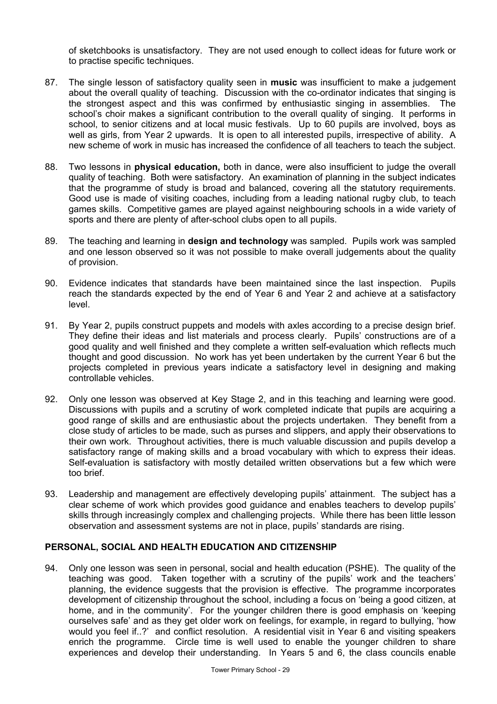of sketchbooks is unsatisfactory. They are not used enough to collect ideas for future work or to practise specific techniques.

- 87. The single lesson of satisfactory quality seen in **music** was insufficient to make a judgement about the overall quality of teaching. Discussion with the co-ordinator indicates that singing is the strongest aspect and this was confirmed by enthusiastic singing in assemblies. The school's choir makes a significant contribution to the overall quality of singing. It performs in school, to senior citizens and at local music festivals. Up to 60 pupils are involved, boys as well as girls, from Year 2 upwards. It is open to all interested pupils, irrespective of ability. A new scheme of work in music has increased the confidence of all teachers to teach the subject.
- 88. Two lessons in **physical education,** both in dance, were also insufficient to judge the overall quality of teaching. Both were satisfactory. An examination of planning in the subject indicates that the programme of study is broad and balanced, covering all the statutory requirements. Good use is made of visiting coaches, including from a leading national rugby club, to teach games skills. Competitive games are played against neighbouring schools in a wide variety of sports and there are plenty of after-school clubs open to all pupils.
- 89. The teaching and learning in **design and technology** was sampled. Pupils work was sampled and one lesson observed so it was not possible to make overall judgements about the quality of provision.
- 90. Evidence indicates that standards have been maintained since the last inspection. Pupils reach the standards expected by the end of Year 6 and Year 2 and achieve at a satisfactory level.
- 91. By Year 2, pupils construct puppets and models with axles according to a precise design brief. They define their ideas and list materials and process clearly. Pupils' constructions are of a good quality and well finished and they complete a written self-evaluation which reflects much thought and good discussion. No work has yet been undertaken by the current Year 6 but the projects completed in previous years indicate a satisfactory level in designing and making controllable vehicles.
- 92. Only one lesson was observed at Key Stage 2, and in this teaching and learning were good. Discussions with pupils and a scrutiny of work completed indicate that pupils are acquiring a good range of skills and are enthusiastic about the projects undertaken. They benefit from a close study of articles to be made, such as purses and slippers, and apply their observations to their own work. Throughout activities, there is much valuable discussion and pupils develop a satisfactory range of making skills and a broad vocabulary with which to express their ideas. Self-evaluation is satisfactory with mostly detailed written observations but a few which were too brief.
- 93. Leadership and management are effectively developing pupils' attainment. The subject has a clear scheme of work which provides good guidance and enables teachers to develop pupils' skills through increasingly complex and challenging projects. While there has been little lesson observation and assessment systems are not in place, pupils' standards are rising.

## **PERSONAL, SOCIAL AND HEALTH EDUCATION AND CITIZENSHIP**

94. Only one lesson was seen in personal, social and health education (PSHE). The quality of the teaching was good. Taken together with a scrutiny of the pupils' work and the teachers' planning, the evidence suggests that the provision is effective. The programme incorporates development of citizenship throughout the school, including a focus on 'being a good citizen, at home, and in the community'. For the younger children there is good emphasis on 'keeping ourselves safe' and as they get older work on feelings, for example, in regard to bullying, 'how would you feel if..?' and conflict resolution. A residential visit in Year 6 and visiting speakers enrich the programme. Circle time is well used to enable the younger children to share experiences and develop their understanding. In Years 5 and 6, the class councils enable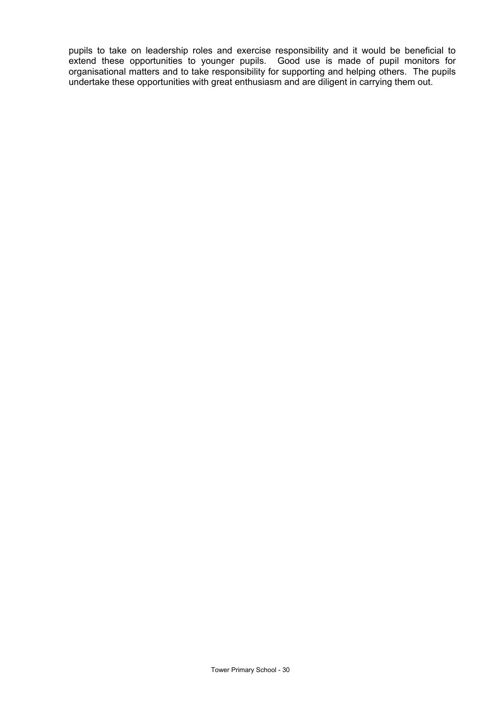pupils to take on leadership roles and exercise responsibility and it would be beneficial to extend these opportunities to younger pupils. Good use is made of pupil monitors for organisational matters and to take responsibility for supporting and helping others. The pupils undertake these opportunities with great enthusiasm and are diligent in carrying them out.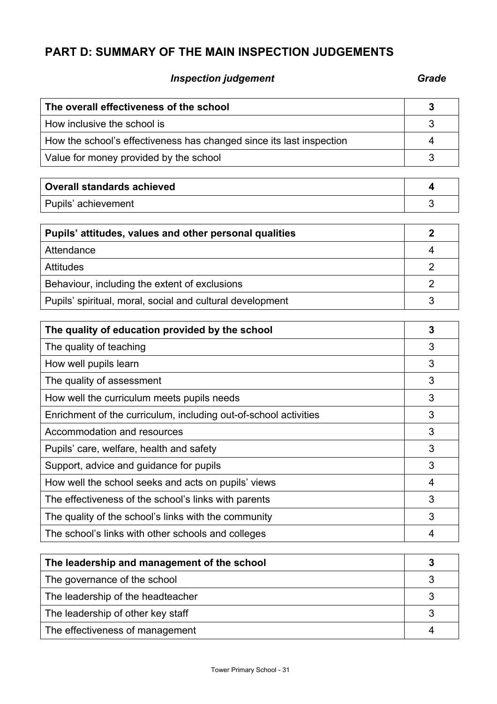# **PART D: SUMMARY OF THE MAIN INSPECTION JUDGEMENTS**

# **Inspection judgement** Grade **Grade**

| The overall effectiveness of the school                              | 3              |
|----------------------------------------------------------------------|----------------|
| How inclusive the school is                                          | 3              |
| How the school's effectiveness has changed since its last inspection | 4              |
| Value for money provided by the school                               | 3              |
| <b>Overall standards achieved</b>                                    | 4              |
| Pupils' achievement                                                  | 3              |
| Pupils' attitudes, values and other personal qualities               | $\overline{2}$ |
| Attendance                                                           | 4              |
| <b>Attitudes</b>                                                     | $\overline{2}$ |
| Behaviour, including the extent of exclusions                        | $\overline{2}$ |
| Pupils' spiritual, moral, social and cultural development            | 3              |
|                                                                      |                |
| The quality of education provided by the school                      | 3              |
| The quality of teaching                                              | 3              |
| How well pupils learn                                                | 3              |
| The quality of assessment                                            | 3              |
| How well the curriculum meets pupils needs                           | 3              |
| Enrichment of the curriculum, including out-of-school activities     | 3              |
| Accommodation and resources                                          | 3              |
| Pupils' care, welfare, health and safety                             | 3              |
| Support, advice and guidance for pupils                              | 3              |
| How well the school seeks and acts on pupils' views                  | 4              |
| The effectiveness of the school's links with parents                 | 3              |
| The quality of the school's links with the community                 | 3              |
| The school's links with other schools and colleges                   | 4              |
|                                                                      |                |

| The leadership and management of the school |  |
|---------------------------------------------|--|
| The governance of the school                |  |
| The leadership of the headteacher           |  |
| The leadership of other key staff           |  |
| The effectiveness of management             |  |